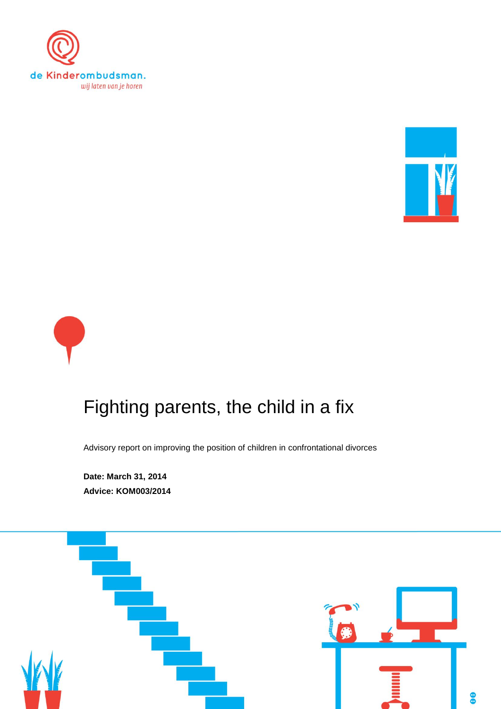





# Fighting parents, the child in a fix

Advisory report on improving the position of children in confrontational divorces

**Date: March 31, 2014 Advice: KOM003/2014**

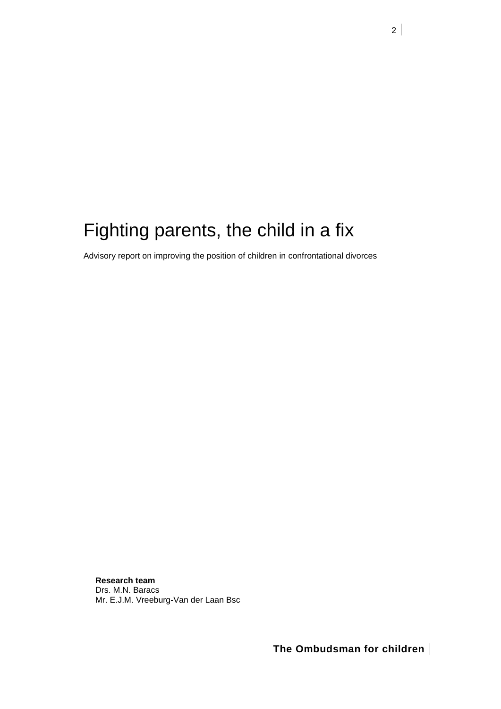# Fighting parents, the child in a fix

Advisory report on improving the position of children in confrontational divorces

**Research team** Drs. M.N. Baracs Mr. E.J.M. Vreeburg-Van der Laan Bsc

**The Ombudsman for children**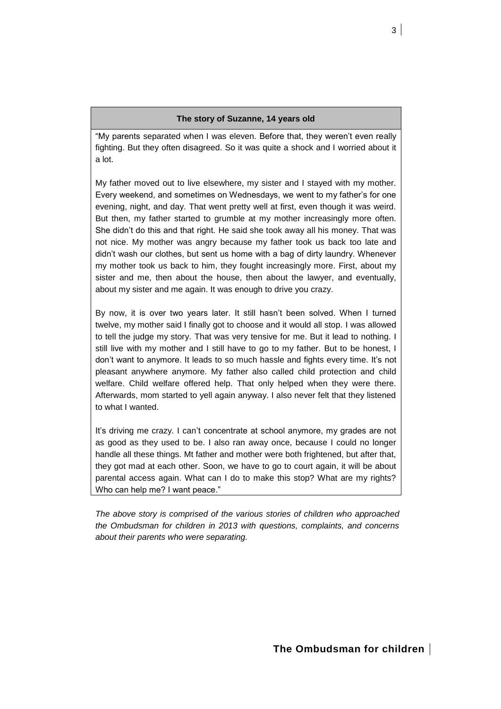# **The story of Suzanne, 14 years old**

"My parents separated when I was eleven. Before that, they weren't even really fighting. But they often disagreed. So it was quite a shock and I worried about it a lot.

My father moved out to live elsewhere, my sister and I stayed with my mother. Every weekend, and sometimes on Wednesdays, we went to my father's for one evening, night, and day. That went pretty well at first, even though it was weird. But then, my father started to grumble at my mother increasingly more often. She didn't do this and that right. He said she took away all his money. That was not nice. My mother was angry because my father took us back too late and didn't wash our clothes, but sent us home with a bag of dirty laundry. Whenever my mother took us back to him, they fought increasingly more. First, about my sister and me, then about the house, then about the lawyer, and eventually, about my sister and me again. It was enough to drive you crazy.

By now, it is over two years later. It still hasn't been solved. When I turned twelve, my mother said I finally got to choose and it would all stop. I was allowed to tell the judge my story. That was very tensive for me. But it lead to nothing. I still live with my mother and I still have to go to my father. But to be honest, I don't want to anymore. It leads to so much hassle and fights every time. It's not pleasant anywhere anymore. My father also called child protection and child welfare. Child welfare offered help. That only helped when they were there. Afterwards, mom started to yell again anyway. I also never felt that they listened to what I wanted.

It's driving me crazy. I can't concentrate at school anymore, my grades are not as good as they used to be. I also ran away once, because I could no longer handle all these things. Mt father and mother were both frightened, but after that, they got mad at each other. Soon, we have to go to court again, it will be about parental access again. What can I do to make this stop? What are my rights? Who can help me? I want peace."

*The above story is comprised of the various stories of children who approached the Ombudsman for children in 2013 with questions, complaints, and concerns about their parents who were separating.*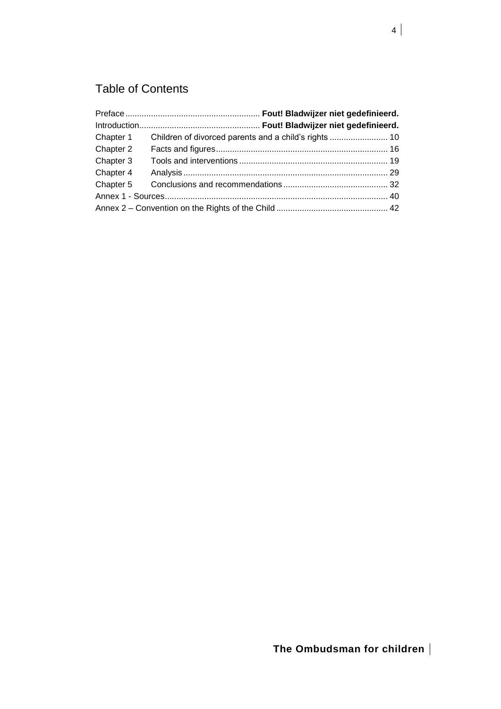# Table of Contents

| Chapter 2 |  |  |  |  |
|-----------|--|--|--|--|
| Chapter 3 |  |  |  |  |
| Chapter 4 |  |  |  |  |
|           |  |  |  |  |
|           |  |  |  |  |
|           |  |  |  |  |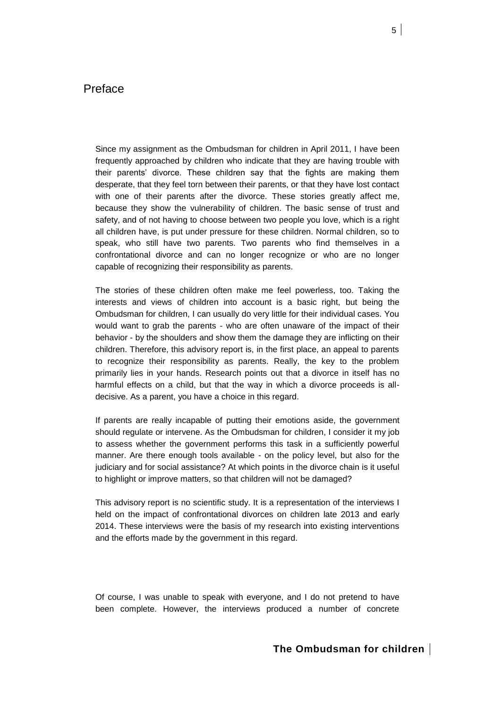# **Preface**

Since my assignment as the Ombudsman for children in April 2011, I have been frequently approached by children who indicate that they are having trouble with their parents' divorce. These children say that the fights are making them desperate, that they feel torn between their parents, or that they have lost contact with one of their parents after the divorce. These stories greatly affect me, because they show the vulnerability of children. The basic sense of trust and safety, and of not having to choose between two people you love, which is a right all children have, is put under pressure for these children. Normal children, so to speak, who still have two parents. Two parents who find themselves in a confrontational divorce and can no longer recognize or who are no longer capable of recognizing their responsibility as parents.

The stories of these children often make me feel powerless, too. Taking the interests and views of children into account is a basic right, but being the Ombudsman for children, I can usually do very little for their individual cases. You would want to grab the parents - who are often unaware of the impact of their behavior - by the shoulders and show them the damage they are inflicting on their children. Therefore, this advisory report is, in the first place, an appeal to parents to recognize their responsibility as parents. Really, the key to the problem primarily lies in your hands. Research points out that a divorce in itself has no harmful effects on a child, but that the way in which a divorce proceeds is alldecisive. As a parent, you have a choice in this regard.

If parents are really incapable of putting their emotions aside, the government should regulate or intervene. As the Ombudsman for children, I consider it my job to assess whether the government performs this task in a sufficiently powerful manner. Are there enough tools available - on the policy level, but also for the judiciary and for social assistance? At which points in the divorce chain is it useful to highlight or improve matters, so that children will not be damaged?

This advisory report is no scientific study. It is a representation of the interviews I held on the impact of confrontational divorces on children late 2013 and early 2014. These interviews were the basis of my research into existing interventions and the efforts made by the government in this regard.

Of course, I was unable to speak with everyone, and I do not pretend to have been complete. However, the interviews produced a number of concrete

# **The Ombudsman for children**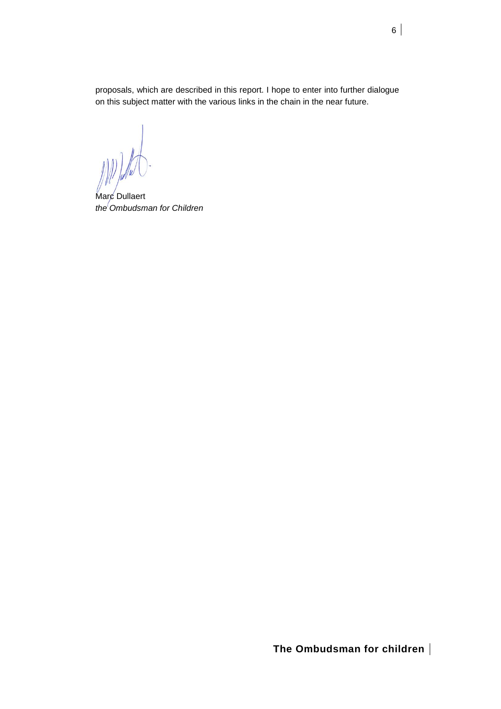proposals, which are described in this report. I hope to enter into further dialogue on this subject matter with the various links in the chain in the near future.

Marc Dullaert *the Ombudsman for Children*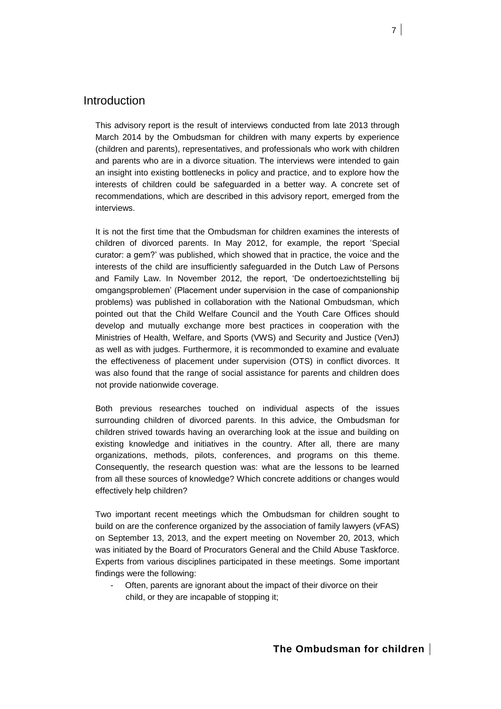# Introduction

This advisory report is the result of interviews conducted from late 2013 through March 2014 by the Ombudsman for children with many experts by experience (children and parents), representatives, and professionals who work with children and parents who are in a divorce situation. The interviews were intended to gain an insight into existing bottlenecks in policy and practice, and to explore how the interests of children could be safeguarded in a better way. A concrete set of recommendations, which are described in this advisory report, emerged from the interviews.

It is not the first time that the Ombudsman for children examines the interests of children of divorced parents. In May 2012, for example, the report 'Special curator: a gem?' was published, which showed that in practice, the voice and the interests of the child are insufficiently safeguarded in the Dutch Law of Persons and Family Law. In November 2012, the report, 'De ondertoezichtstelling bij omgangsproblemen' (Placement under supervision in the case of companionship problems) was published in collaboration with the National Ombudsman, which pointed out that the Child Welfare Council and the Youth Care Offices should develop and mutually exchange more best practices in cooperation with the Ministries of Health, Welfare, and Sports (VWS) and Security and Justice (VenJ) as well as with judges. Furthermore, it is recommonded to examine and evaluate the effectiveness of placement under supervision (OTS) in conflict divorces. It was also found that the range of social assistance for parents and children does not provide nationwide coverage.

Both previous researches touched on individual aspects of the issues surrounding children of divorced parents. In this advice, the Ombudsman for children strived towards having an overarching look at the issue and building on existing knowledge and initiatives in the country. After all, there are many organizations, methods, pilots, conferences, and programs on this theme. Consequently, the research question was: what are the lessons to be learned from all these sources of knowledge? Which concrete additions or changes would effectively help children?

Two important recent meetings which the Ombudsman for children sought to build on are the conference organized by the association of family lawyers (vFAS) on September 13, 2013, and the expert meeting on November 20, 2013, which was initiated by the Board of Procurators General and the Child Abuse Taskforce. Experts from various disciplines participated in these meetings. Some important findings were the following:

Often, parents are ignorant about the impact of their divorce on their child, or they are incapable of stopping it;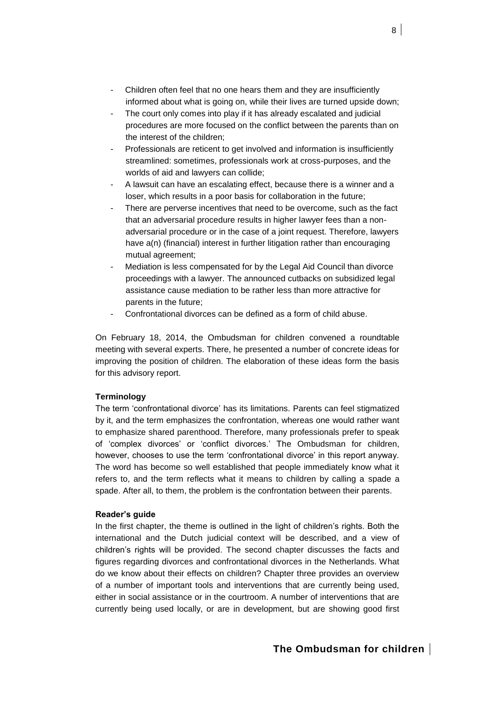- Children often feel that no one hears them and they are insufficiently informed about what is going on, while their lives are turned upside down;
- The court only comes into play if it has already escalated and judicial procedures are more focused on the conflict between the parents than on the interest of the children;
- Professionals are reticent to get involved and information is insufficiently streamlined: sometimes, professionals work at cross-purposes, and the worlds of aid and lawyers can collide;
- A lawsuit can have an escalating effect, because there is a winner and a loser, which results in a poor basis for collaboration in the future;
- There are perverse incentives that need to be overcome, such as the fact that an adversarial procedure results in higher lawyer fees than a nonadversarial procedure or in the case of a joint request. Therefore, lawyers have a(n) (financial) interest in further litigation rather than encouraging mutual agreement;
- Mediation is less compensated for by the Legal Aid Council than divorce proceedings with a lawyer. The announced cutbacks on subsidized legal assistance cause mediation to be rather less than more attractive for parents in the future;
- Confrontational divorces can be defined as a form of child abuse.

On February 18, 2014, the Ombudsman for children convened a roundtable meeting with several experts. There, he presented a number of concrete ideas for improving the position of children. The elaboration of these ideas form the basis for this advisory report.

# **Terminology**

The term 'confrontational divorce' has its limitations. Parents can feel stigmatized by it, and the term emphasizes the confrontation, whereas one would rather want to emphasize shared parenthood. Therefore, many professionals prefer to speak of 'complex divorces' or 'conflict divorces.' The Ombudsman for children, however, chooses to use the term 'confrontational divorce' in this report anyway. The word has become so well established that people immediately know what it refers to, and the term reflects what it means to children by calling a spade a spade. After all, to them, the problem is the confrontation between their parents.

# **Reader's guide**

In the first chapter, the theme is outlined in the light of children's rights. Both the international and the Dutch judicial context will be described, and a view of children's rights will be provided. The second chapter discusses the facts and figures regarding divorces and confrontational divorces in the Netherlands. What do we know about their effects on children? Chapter three provides an overview of a number of important tools and interventions that are currently being used, either in social assistance or in the courtroom. A number of interventions that are currently being used locally, or are in development, but are showing good first

# **The Ombudsman for children**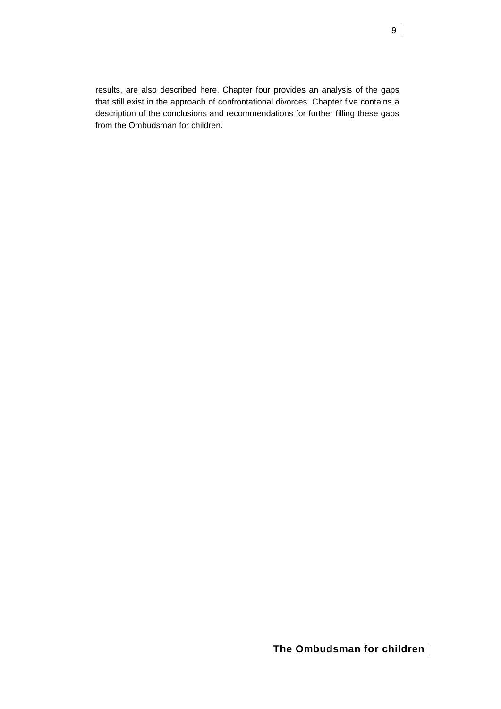results, are also described here. Chapter four provides an analysis of the gaps that still exist in the approach of confrontational divorces. Chapter five contains a description of the conclusions and recommendations for further filling these gaps from the Ombudsman for children.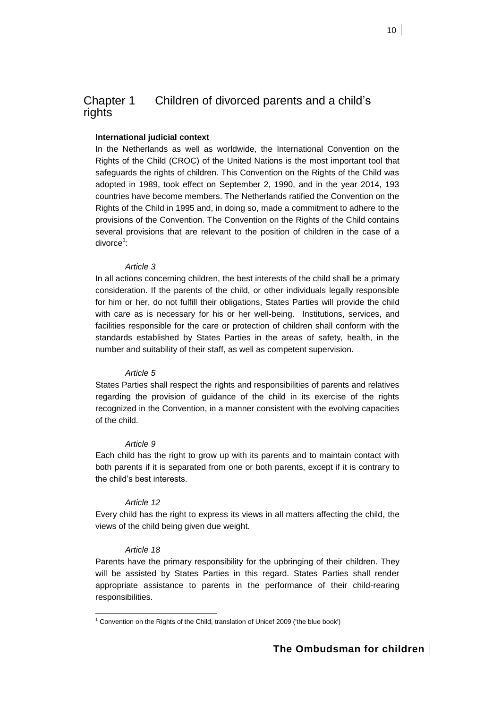10

# <span id="page-9-0"></span>Chapter 1 Children of divorced parents and a child's rights

# **International judicial context**

In the Netherlands as well as worldwide, the International Convention on the Rights of the Child (CROC) of the United Nations is the most important tool that safeguards the rights of children. This Convention on the Rights of the Child was adopted in 1989, took effect on September 2, 1990, and in the year 2014, 193 countries have become members. The Netherlands ratified the Convention on the Rights of the Child in 1995 and, in doing so, made a commitment to adhere to the provisions of the Convention. The Convention on the Rights of the Child contains several provisions that are relevant to the position of children in the case of a divorce<sup>1</sup>:

# *Article 3*

In all actions concerning children, the best interests of the child shall be a primary consideration. If the parents of the child, or other individuals legally responsible for him or her, do not fulfill their obligations, States Parties will provide the child with care as is necessary for his or her well-being. Institutions, services, and facilities responsible for the care or protection of children shall conform with the standards established by States Parties in the areas of safety, health, in the number and suitability of their staff, as well as competent supervision.

# *Article 5*

States Parties shall respect the rights and responsibilities of parents and relatives regarding the provision of guidance of the child in its exercise of the rights recognized in the Convention, in a manner consistent with the evolving capacities of the child.

# *Article 9*

Each child has the right to grow up with its parents and to maintain contact with both parents if it is separated from one or both parents, except if it is contrary to the child's best interests.

# *Article 12*

Every child has the right to express its views in all matters affecting the child, the views of the child being given due weight.

# *Article 18*

Parents have the primary responsibility for the upbringing of their children. They will be assisted by States Parties in this regard. States Parties shall render appropriate assistance to parents in the performance of their child-rearing responsibilities.

l  $1$  Convention on the Rights of the Child, translation of Unicef 2009 ('the blue book')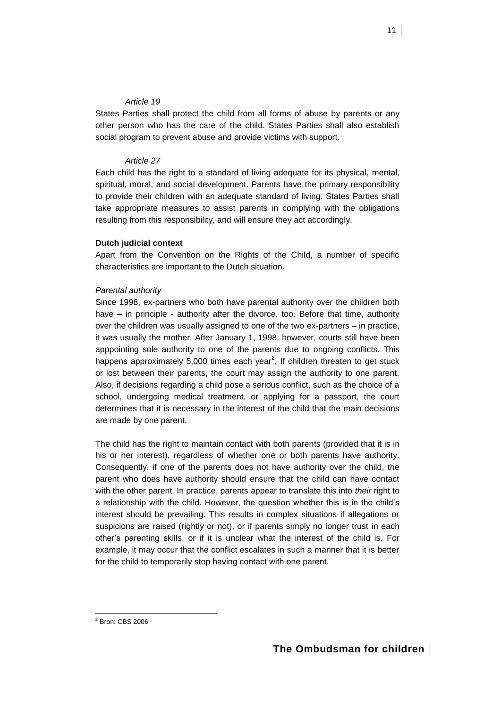# *Article 19*

States Parties shall protect the child from all forms of abuse by parents or any other person who has the care of the child. States Parties shall also establish social program to prevent abuse and provide victims with support.

# *Article 27*

Each child has the right to a standard of living adequate for its physical, mental, spiritual, moral, and social development. Parents have the primary responsibility to provide their children with an adequate standard of living. States Parties shall take appropriate measures to assist parents in complying with the obligations resulting from this responsibility, and will ensure they act accordingly.

# **Dutch judicial context**

Apart from the Convention on the Rights of the Child, a number of specific characteristics are important to the Dutch situation.

# *Parental authority*

Since 1998, ex-partners who both have parental authority over the children both have – in principle - authority after the divorce, too. Before that time, authority over the children was usually assigned to one of the two ex-partners – in practice, it was usually the mother. After January 1, 1998, however, courts still have been apppointing sole authority to one of the parents due to ongoing conflicts. This happens approximately 5,000 times each year<sup>2</sup>. If children threaten to get stuck or lost between their parents, the court may assign the authority to one parent. Also, if decisions regarding a child pose a serious conflict, such as the choice of a school, undergoing medical treatment, or applying for a passport, the court determines that it is necessary in the interest of the child that the main decisions are made by one parent.

The child has the right to maintain contact with both parents (provided that it is in his or her interest), regardless of whether one or both parents have authority. Consequently, if one of the parents does not have authority over the child, the parent who does have authority should ensure that the child can have contact with the other parent. In practice, parents appear to translate this into *their* right to a relationship with the child. However, the question whether this is in the child's interest should be prevailing. This results in complex situations if allegations or suspicions are raised (rightly or not), or if parents simply no longer trust in each other's parenting skills, or if it is unclear what the interest of the child is. For example, it may occur that the conflict escalates in such a manner that it is better for the child to temporarily stop having contact with one parent.

<sup>2</sup> Bron: CBS 2006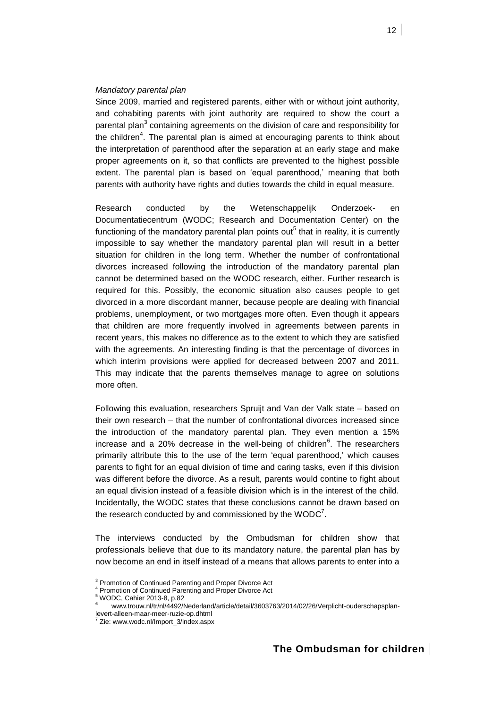# *Mandatory parental plan*

Since 2009, married and registered parents, either with or without joint authority, and cohabiting parents with joint authority are required to show the court a parental plan<sup>3</sup> containing agreements on the division of care and responsibility for the children<sup>4</sup>. The parental plan is aimed at encouraging parents to think about the interpretation of parenthood after the separation at an early stage and make proper agreements on it, so that conflicts are prevented to the highest possible extent. The parental plan is based on 'equal parenthood,' meaning that both parents with authority have rights and duties towards the child in equal measure.

Research conducted by the Wetenschappelijk Onderzoek- en Documentatiecentrum (WODC; Research and Documentation Center) on the functioning of the mandatory parental plan points out<sup>5</sup> that in reality, it is currently impossible to say whether the mandatory parental plan will result in a better situation for children in the long term. Whether the number of confrontational divorces increased following the introduction of the mandatory parental plan cannot be determined based on the WODC research, either. Further research is required for this. Possibly, the economic situation also causes people to get divorced in a more discordant manner, because people are dealing with financial problems, unemployment, or two mortgages more often. Even though it appears that children are more frequently involved in agreements between parents in recent years, this makes no difference as to the extent to which they are satisfied with the agreements. An interesting finding is that the percentage of divorces in which interim provisions were applied for decreased between 2007 and 2011. This may indicate that the parents themselves manage to agree on solutions more often.

Following this evaluation, researchers Spruijt and Van der Valk state – based on their own research – that the number of confrontational divorces increased since the introduction of the mandatory parental plan. They even mention a 15% increase and a 20% decrease in the well-being of children<sup>6</sup>. The researchers primarily attribute this to the use of the term 'equal parenthood,' which causes parents to fight for an equal division of time and caring tasks, even if this division was different before the divorce. As a result, parents would contine to fight about an equal division instead of a feasible division which is in the interest of the child. Incidentally, the WODC states that these conclusions cannot be drawn based on the research conducted by and commissioned by the  $WODC^7$ .

The interviews conducted by the Ombudsman for children show that professionals believe that due to its mandatory nature, the parental plan has by now become an end in itself instead of a means that allows parents to enter into a

<sup>5</sup> WODC, Cahier 2013-8, p.82

<sup>&</sup>lt;sup>3</sup> Promotion of Continued Parenting and Proper Divorce Act

<sup>4</sup> Promotion of Continued Parenting and Proper Divorce Act

<sup>6</sup> www.trouw.nl/tr/nl/4492/Nederland/article/detail/3603763/2014/02/26/Verplicht-ouderschapsplanlevert-alleen-maar-meer-ruzie-op.dhtml

<sup>7</sup> Zie: www.wodc.nl/Import\_3/index.aspx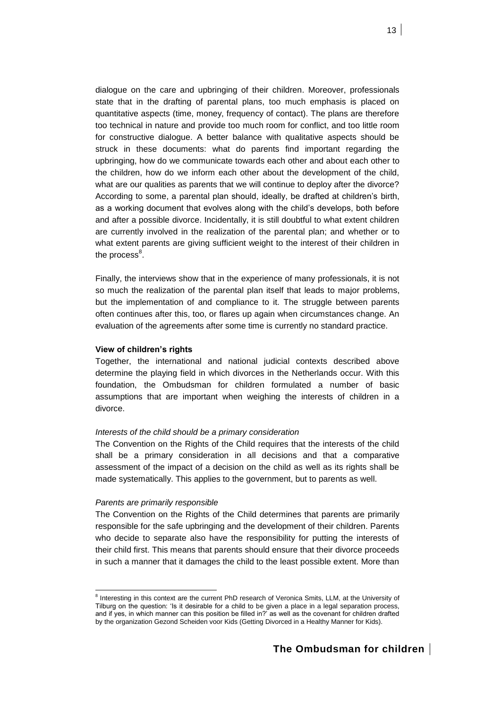dialogue on the care and upbringing of their children. Moreover, professionals state that in the drafting of parental plans, too much emphasis is placed on quantitative aspects (time, money, frequency of contact). The plans are therefore too technical in nature and provide too much room for conflict, and too little room for constructive dialogue. A better balance with qualitative aspects should be struck in these documents: what do parents find important regarding the upbringing, how do we communicate towards each other and about each other to the children, how do we inform each other about the development of the child, what are our qualities as parents that we will continue to deploy after the divorce? According to some, a parental plan should, ideally, be drafted at children's birth, as a working document that evolves along with the child's develops, both before and after a possible divorce. Incidentally, it is still doubtful to what extent children are currently involved in the realization of the parental plan; and whether or to what extent parents are giving sufficient weight to the interest of their children in the process $^8$ .

Finally, the interviews show that in the experience of many professionals, it is not so much the realization of the parental plan itself that leads to major problems, but the implementation of and compliance to it. The struggle between parents often continues after this, too, or flares up again when circumstances change. An evaluation of the agreements after some time is currently no standard practice.

### **View of children's rights**

Together, the international and national judicial contexts described above determine the playing field in which divorces in the Netherlands occur. With this foundation, the Ombudsman for children formulated a number of basic assumptions that are important when weighing the interests of children in a divorce.

### *Interests of the child should be a primary consideration*

The Convention on the Rights of the Child requires that the interests of the child shall be a primary consideration in all decisions and that a comparative assessment of the impact of a decision on the child as well as its rights shall be made systematically. This applies to the government, but to parents as well.

### *Parents are primarily responsible*

l

The Convention on the Rights of the Child determines that parents are primarily responsible for the safe upbringing and the development of their children. Parents who decide to separate also have the responsibility for putting the interests of their child first. This means that parents should ensure that their divorce proceeds in such a manner that it damages the child to the least possible extent. More than

<sup>&</sup>lt;sup>8</sup> Interesting in this context are the current PhD research of Veronica Smits, LLM, at the University of Tilburg on the question: 'Is it desirable for a child to be given a place in a legal separation process, and if yes, in which manner can this position be filled in?' as well as the covenant for children drafted by the organization Gezond Scheiden voor Kids (Getting Divorced in a Healthy Manner for Kids).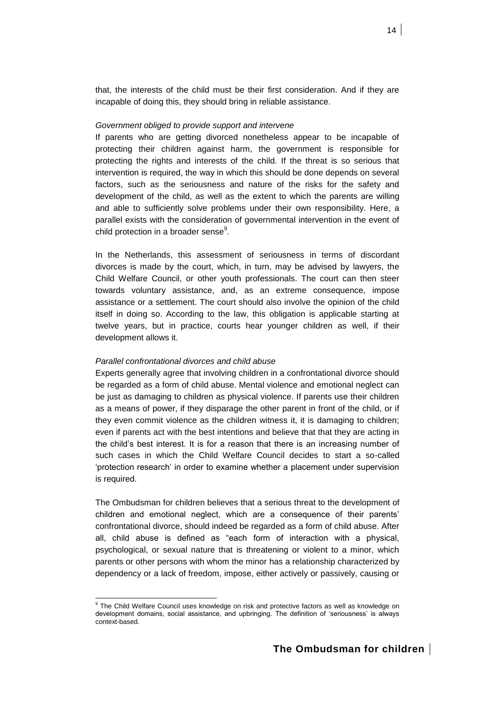that, the interests of the child must be their first consideration. And if they are incapable of doing this, they should bring in reliable assistance.

# *Government obliged to provide support and intervene*

If parents who are getting divorced nonetheless appear to be incapable of protecting their children against harm, the government is responsible for protecting the rights and interests of the child. If the threat is so serious that intervention is required, the way in which this should be done depends on several factors, such as the seriousness and nature of the risks for the safety and development of the child, as well as the extent to which the parents are willing and able to sufficiently solve problems under their own responsibility. Here, a parallel exists with the consideration of governmental intervention in the event of child protection in a broader sense $^9$ .

In the Netherlands, this assessment of seriousness in terms of discordant divorces is made by the court, which, in turn, may be advised by lawyers, the Child Welfare Council, or other youth professionals. The court can then steer towards voluntary assistance, and, as an extreme consequence, impose assistance or a settlement. The court should also involve the opinion of the child itself in doing so. According to the law, this obligation is applicable starting at twelve years, but in practice, courts hear younger children as well, if their development allows it.

# *Parallel confrontational divorces and child abuse*

l

Experts generally agree that involving children in a confrontational divorce should be regarded as a form of child abuse. Mental violence and emotional neglect can be just as damaging to children as physical violence. If parents use their children as a means of power, if they disparage the other parent in front of the child, or if they even commit violence as the children witness it, it is damaging to children; even if parents act with the best intentions and believe that that they are acting in the child's best interest. It is for a reason that there is an increasing number of such cases in which the Child Welfare Council decides to start a so-called 'protection research' in order to examine whether a placement under supervision is required.

The Ombudsman for children believes that a serious threat to the development of children and emotional neglect, which are a consequence of their parents' confrontational divorce, should indeed be regarded as a form of child abuse. After all, child abuse is defined as "each form of interaction with a physical, psychological, or sexual nature that is threatening or violent to a minor, which parents or other persons with whom the minor has a relationship characterized by dependency or a lack of freedom, impose, either actively or passively, causing or

<sup>&</sup>lt;sup>9</sup> The Child Welfare Council uses knowledge on risk and protective factors as well as knowledge on development domains, social assistance, and upbringing. The definition of 'seriousness' is always context-based.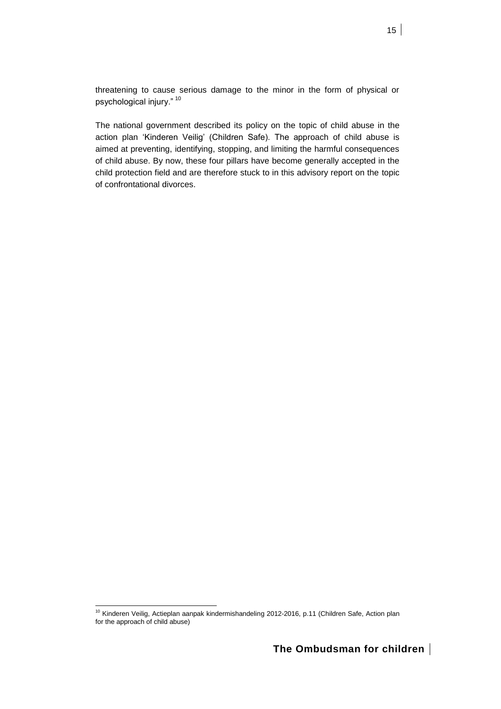threatening to cause serious damage to the minor in the form of physical or psychological injury." <sup>10</sup>

The national government described its policy on the topic of child abuse in the action plan 'Kinderen Veilig' (Children Safe). The approach of child abuse is aimed at preventing, identifying, stopping, and limiting the harmful consequences of child abuse. By now, these four pillars have become generally accepted in the child protection field and are therefore stuck to in this advisory report on the topic of confrontational divorces.

<sup>&</sup>lt;sup>10</sup> Kinderen Veilig, Actieplan aanpak kindermishandeling 2012-2016, p.11 (Children Safe, Action plan for the approach of child abuse)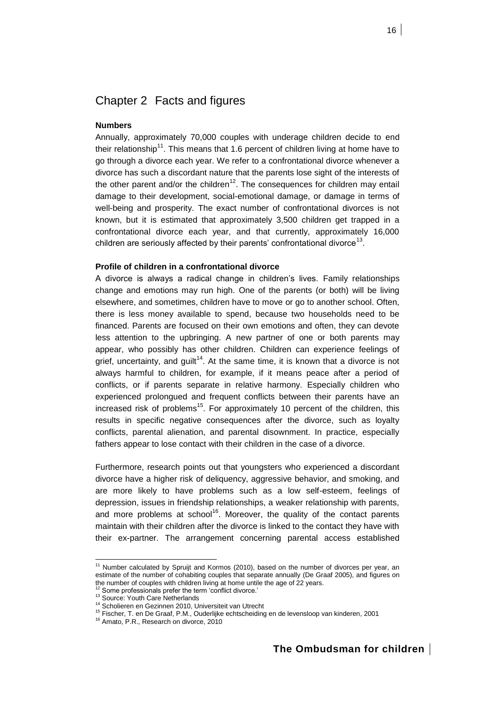# <span id="page-15-0"></span>Chapter 2 Facts and figures

# **Numbers**

Annually, approximately 70,000 couples with underage children decide to end their relationship<sup>11</sup>. This means that 1.6 percent of children living at home have to go through a divorce each year. We refer to a confrontational divorce whenever a divorce has such a discordant nature that the parents lose sight of the interests of the other parent and/or the children<sup>12</sup>. The consequences for children may entail damage to their development, social-emotional damage, or damage in terms of well-being and prosperity. The exact number of confrontational divorces is not known, but it is estimated that approximately 3,500 children get trapped in a confrontational divorce each year, and that currently, approximately 16,000 children are seriously affected by their parents' confrontational divorce<sup>13</sup>.

# **Profile of children in a confrontational divorce**

A divorce is always a radical change in children's lives. Family relationships change and emotions may run high. One of the parents (or both) will be living elsewhere, and sometimes, children have to move or go to another school. Often, there is less money available to spend, because two households need to be financed. Parents are focused on their own emotions and often, they can devote less attention to the upbringing. A new partner of one or both parents may appear, who possibly has other children. Children can experience feelings of grief, uncertainty, and guilt<sup>14</sup>. At the same time, it is known that a divorce is not always harmful to children, for example, if it means peace after a period of conflicts, or if parents separate in relative harmony. Especially children who experienced prolongued and frequent conflicts between their parents have an increased risk of problems<sup>15</sup>. For approximately 10 percent of the children, this results in specific negative consequences after the divorce, such as loyalty conflicts, parental alienation, and parental disownment. In practice, especially fathers appear to lose contact with their children in the case of a divorce.

Furthermore, research points out that youngsters who experienced a discordant divorce have a higher risk of deliquency, aggressive behavior, and smoking, and are more likely to have problems such as a low self-esteem, feelings of depression, issues in friendship relationships, a weaker relationship with parents, and more problems at school<sup>16</sup>. Moreover, the quality of the contact parents maintain with their children after the divorce is linked to the contact they have with their ex-partner. The arrangement concerning parental access established

 $11$  Number calculated by Spruijt and Kormos (2010), based on the number of divorces per year, an estimate of the number of cohabiting couples that separate annually (De Graaf 2005), and figures on the number of couples with children living at home untile the age of 22 years.

Some professionals prefer the term 'conflict divorce.'

<sup>&</sup>lt;sup>13</sup> Source: Youth Care Netherlands

<sup>14</sup> Scholieren en Gezinnen 2010, Universiteit van Utrecht

<sup>15</sup> Fischer, T. en De Graaf, P.M., Ouderlijke echtscheiding en de levensloop van kinderen, 2001

<sup>&</sup>lt;sup>16</sup> Amato, P.R., Research on divorce, 2010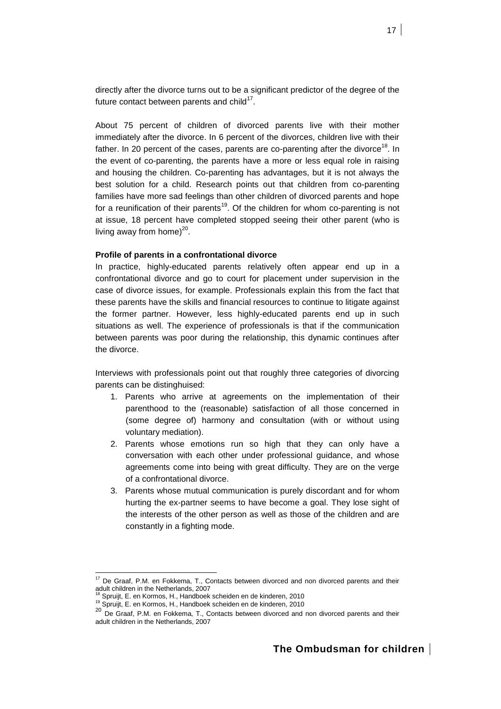directly after the divorce turns out to be a significant predictor of the degree of the future contact between parents and child $^{17}$ .

About 75 percent of children of divorced parents live with their mother immediately after the divorce. In 6 percent of the divorces, children live with their father. In 20 percent of the cases, parents are co-parenting after the divorce<sup>18</sup>. In the event of co-parenting, the parents have a more or less equal role in raising and housing the children. Co-parenting has advantages, but it is not always the best solution for a child. Research points out that children from co-parenting families have more sad feelings than other children of divorced parents and hope for a reunification of their parents<sup>19</sup>. Of the children for whom co-parenting is not at issue, 18 percent have completed stopped seeing their other parent (who is living away from home) $^{20}$ .

### **Profile of parents in a confrontational divorce**

In practice, highly-educated parents relatively often appear end up in a confrontational divorce and go to court for placement under supervision in the case of divorce issues, for example. Professionals explain this from the fact that these parents have the skills and financial resources to continue to litigate against the former partner. However, less highly-educated parents end up in such situations as well. The experience of professionals is that if the communication between parents was poor during the relationship, this dynamic continues after the divorce.

Interviews with professionals point out that roughly three categories of divorcing parents can be distinghuised:

- 1. Parents who arrive at agreements on the implementation of their parenthood to the (reasonable) satisfaction of all those concerned in (some degree of) harmony and consultation (with or without using voluntary mediation).
- 2. Parents whose emotions run so high that they can only have a conversation with each other under professional guidance, and whose agreements come into being with great difficulty. They are on the verge of a confrontational divorce.
- 3. Parents whose mutual communication is purely discordant and for whom hurting the ex-partner seems to have become a goal. They lose sight of the interests of the other person as well as those of the children and are constantly in a fighting mode.

 $17$  De Graaf, P.M. en Fokkema, T., Contacts between divorced and non divorced parents and their adult children in the Netherlands, 2007

<sup>18</sup> Spruijt, E. en Kormos, H., Handboek scheiden en de kinderen, 2010

<sup>19</sup> Spruijt, E. en Kormos, H., Handboek scheiden en de kinderen, 2010

<sup>&</sup>lt;sup>20</sup> De Graaf, P.M. en Fokkema, T., Contacts between divorced and non divorced parents and their adult children in the Netherlands, 2007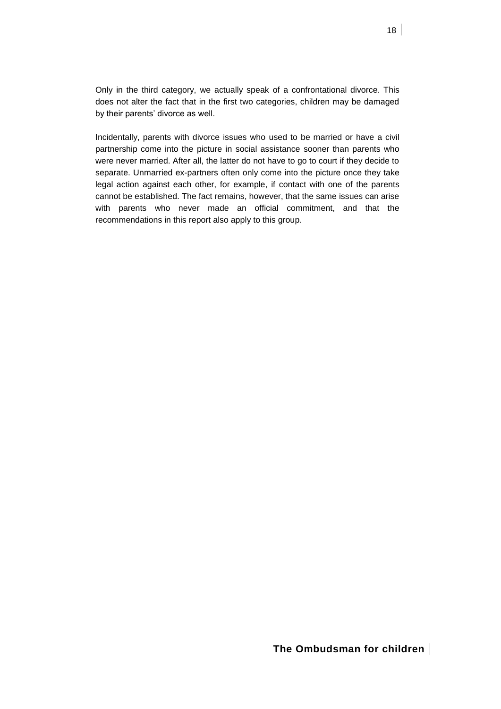Only in the third category, we actually speak of a confrontational divorce. This does not alter the fact that in the first two categories, children may be damaged by their parents' divorce as well.

Incidentally, parents with divorce issues who used to be married or have a civil partnership come into the picture in social assistance sooner than parents who were never married. After all, the latter do not have to go to court if they decide to separate. Unmarried ex-partners often only come into the picture once they take legal action against each other, for example, if contact with one of the parents cannot be established. The fact remains, however, that the same issues can arise with parents who never made an official commitment, and that the recommendations in this report also apply to this group.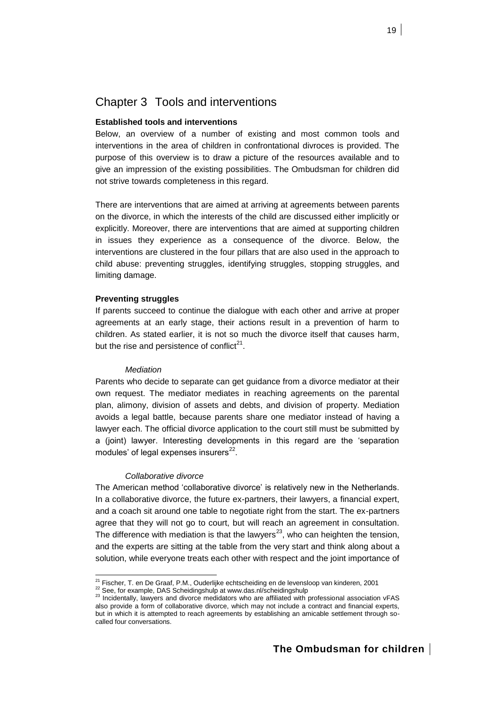# <span id="page-18-0"></span>Chapter 3 Tools and interventions

# **Established tools and interventions**

Below, an overview of a number of existing and most common tools and interventions in the area of children in confrontational divroces is provided. The purpose of this overview is to draw a picture of the resources available and to give an impression of the existing possibilities. The Ombudsman for children did not strive towards completeness in this regard.

There are interventions that are aimed at arriving at agreements between parents on the divorce, in which the interests of the child are discussed either implicitly or explicitly. Moreover, there are interventions that are aimed at supporting children in issues they experience as a consequence of the divorce. Below, the interventions are clustered in the four pillars that are also used in the approach to child abuse: preventing struggles, identifying struggles, stopping struggles, and limiting damage.

# **Preventing struggles**

If parents succeed to continue the dialogue with each other and arrive at proper agreements at an early stage, their actions result in a prevention of harm to children. As stated earlier, it is not so much the divorce itself that causes harm, but the rise and persistence of conflict<sup>21</sup>.

### *Mediation*

Parents who decide to separate can get guidance from a divorce mediator at their own request. The mediator mediates in reaching agreements on the parental plan, alimony, division of assets and debts, and division of property. Mediation avoids a legal battle, because parents share one mediator instead of having a lawyer each. The official divorce application to the court still must be submitted by a (joint) lawyer. Interesting developments in this regard are the 'separation modules' of legal expenses insurers $^{22}$ .

### *Collaborative divorce*

l

The American method 'collaborative divorce' is relatively new in the Netherlands. In a collaborative divorce, the future ex-partners, their lawyers, a financial expert, and a coach sit around one table to negotiate right from the start. The ex-partners agree that they will not go to court, but will reach an agreement in consultation. The difference with mediation is that the lawyers<sup>23</sup>, who can heighten the tension, and the experts are sitting at the table from the very start and think along about a solution, while everyone treats each other with respect and the joint importance of

<sup>&</sup>lt;sup>21</sup> Fischer, T. en De Graaf, P.M., Ouderlijke echtscheiding en de levensloop van kinderen, 2001 <sup>22</sup> See, for example, DAS Scheidingshulp at www.das.nl/scheidingshulp

<sup>23</sup> Incidentally, lawyers and divorce medidators who are affiliated with professional association vFAS also provide a form of collaborative divorce, which may not include a contract and financial experts, but in which it is attempted to reach agreements by establishing an amicable settlement through socalled four conversations.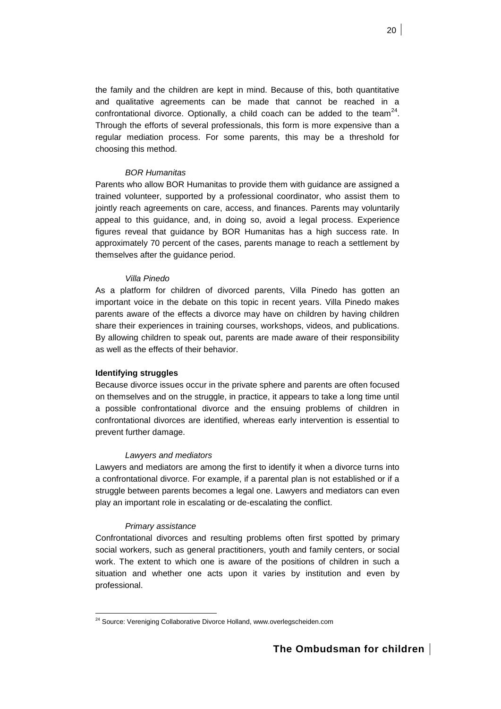the family and the children are kept in mind. Because of this, both quantitative and qualitative agreements can be made that cannot be reached in a confrontational divorce. Optionally, a child coach can be added to the team<sup>24</sup>. Through the efforts of several professionals, this form is more expensive than a regular mediation process. For some parents, this may be a threshold for choosing this method.

# *BOR Humanitas*

Parents who allow BOR Humanitas to provide them with guidance are assigned a trained volunteer, supported by a professional coordinator, who assist them to jointly reach agreements on care, access, and finances. Parents may voluntarily appeal to this guidance, and, in doing so, avoid a legal process. Experience figures reveal that guidance by BOR Humanitas has a high success rate. In approximately 70 percent of the cases, parents manage to reach a settlement by themselves after the guidance period.

### *Villa Pinedo*

As a platform for children of divorced parents, Villa Pinedo has gotten an important voice in the debate on this topic in recent years. Villa Pinedo makes parents aware of the effects a divorce may have on children by having children share their experiences in training courses, workshops, videos, and publications. By allowing children to speak out, parents are made aware of their responsibility as well as the effects of their behavior.

# **Identifying struggles**

Because divorce issues occur in the private sphere and parents are often focused on themselves and on the struggle, in practice, it appears to take a long time until a possible confrontational divorce and the ensuing problems of children in confrontational divorces are identified, whereas early intervention is essential to prevent further damage.

# *Lawyers and mediators*

Lawyers and mediators are among the first to identify it when a divorce turns into a confrontational divorce. For example, if a parental plan is not established or if a struggle between parents becomes a legal one. Lawyers and mediators can even play an important role in escalating or de-escalating the conflict.

### *Primary assistance*

l

Confrontational divorces and resulting problems often first spotted by primary social workers, such as general practitioners, youth and family centers, or social work. The extent to which one is aware of the positions of children in such a situation and whether one acts upon it varies by institution and even by professional.

<sup>&</sup>lt;sup>24</sup> Source: Vereniging Collaborative Divorce Holland, www.overlegscheiden.com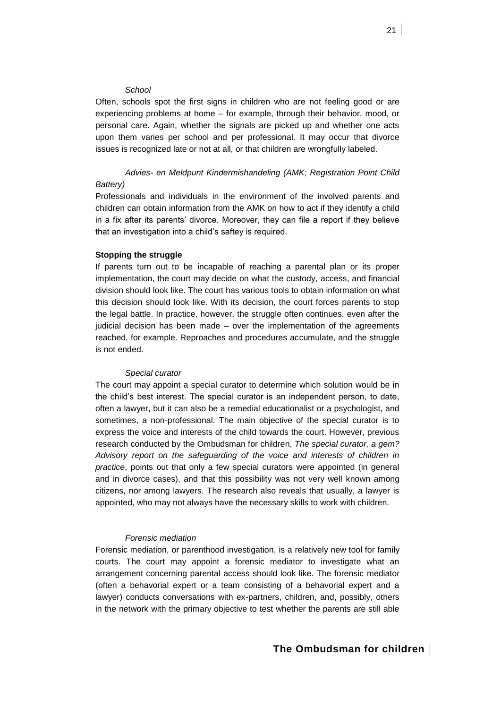# *School*

Often, schools spot the first signs in children who are not feeling good or are experiencing problems at home – for example, through their behavior, mood, or personal care. Again, whether the signals are picked up and whether one acts upon them varies per school and per professional. It may occur that divorce issues is recognized late or not at all, or that children are wrongfully labeled.

# *Advies- en Meldpunt Kindermishandeling (AMK; Registration Point Child*

# *Battery)*

Professionals and individuals in the environment of the involved parents and children can obtain information from the AMK on how to act if they identify a child in a fix after its parents' divorce. Moreover, they can file a report if they believe that an investigation into a child's saftey is required.

# **Stopping the struggle**

If parents turn out to be incapable of reaching a parental plan or its proper implementation, the court may decide on what the custody, access, and financial division should look like. The court has various tools to obtain information on what this decision should look like. With its decision, the court forces parents to stop the legal battle. In practice, however, the struggle often continues, even after the judicial decision has been made – over the implementation of the agreements reached, for example. Reproaches and procedures accumulate, and the struggle is not ended.

### *Special curator*

The court may appoint a special curator to determine which solution would be in the child's best interest. The special curator is an independent person, to date, often a lawyer, but it can also be a remedial educationalist or a psychologist, and sometimes, a non-professional. The main objective of the special curator is to express the voice and interests of the child towards the court. However, previous research conducted by the Ombudsman for children, *The special curator, a gem? Advisory report on the safeguarding of the voice and interests of children in practice*, points out that only a few special curators were appointed (in general and in divorce cases), and that this possibility was not very well known among citizens, nor among lawyers. The research also reveals that usually, a lawyer is appointed, who may not always have the necessary skills to work with children.

# *Forensic mediation*

Forensic mediation, or parenthood investigation, is a relatively new tool for family courts. The court may appoint a forensic mediator to investigate what an arrangement concerning parental access should look like. The forensic mediator (often a behavorial expert or a team consisting of a behavorial expert and a lawyer) conducts conversations with ex-partners, children, and, possibly, others in the network with the primary objective to test whether the parents are still able

# **The Ombudsman for children**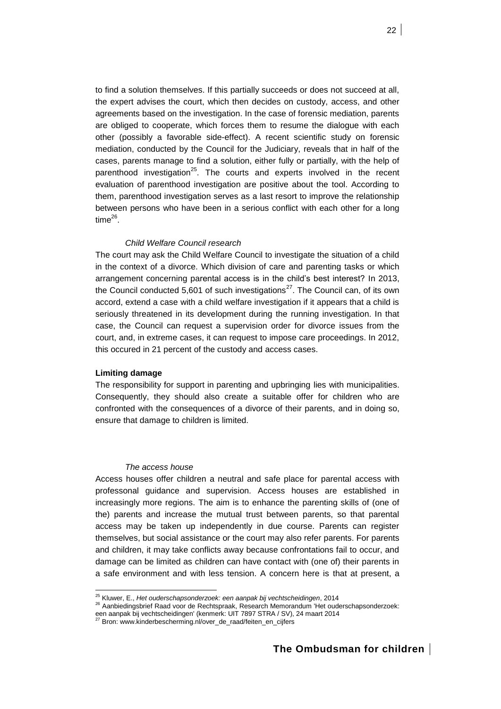to find a solution themselves. If this partially succeeds or does not succeed at all, the expert advises the court, which then decides on custody, access, and other agreements based on the investigation. In the case of forensic mediation, parents are obliged to cooperate, which forces them to resume the dialogue with each other (possibly a favorable side-effect). A recent scientific study on forensic mediation, conducted by the Council for the Judiciary, reveals that in half of the cases, parents manage to find a solution, either fully or partially, with the help of parenthood investigation<sup>25</sup>. The courts and experts involved in the recent evaluation of parenthood investigation are positive about the tool. According to them, parenthood investigation serves as a last resort to improve the relationship between persons who have been in a serious conflict with each other for a long time $^{26}$ .

# *Child Welfare Council research*

The court may ask the Child Welfare Council to investigate the situation of a child in the context of a divorce. Which division of care and parenting tasks or which arrangement concerning parental access is in the child's best interest? In 2013, the Council conducted 5,601 of such investigations<sup>27</sup>. The Council can, of its own accord, extend a case with a child welfare investigation if it appears that a child is seriously threatened in its development during the running investigation. In that case, the Council can request a supervision order for divorce issues from the court, and, in extreme cases, it can request to impose care proceedings. In 2012, this occured in 21 percent of the custody and access cases.

# **Limiting damage**

l

The responsibility for support in parenting and upbringing lies with municipalities. Consequently, they should also create a suitable offer for children who are confronted with the consequences of a divorce of their parents, and in doing so, ensure that damage to children is limited.

### *The access house*

Access houses offer children a neutral and safe place for parental access with professonal guidance and supervision. Access houses are established in increasingly more regions. The aim is to enhance the parenting skills of (one of the) parents and increase the mutual trust between parents, so that parental access may be taken up independently in due course. Parents can register themselves, but social assistance or the court may also refer parents. For parents and children, it may take conflicts away because confrontations fail to occur, and damage can be limited as children can have contact with (one of) their parents in a safe environment and with less tension. A concern here is that at present, a

<sup>25</sup> Kluwer, E., *Het ouderschapsonderzoek: een aanpak bij vechtscheidingen*, 2014

<sup>26</sup> Aanbiedingsbrief Raad voor de Rechtspraak, Research Memorandum 'Het ouderschapsonderzoek:

een aanpak bij vechtscheidingen' (kenmerk: UIT 7897 STRA / SV), 24 maart 2014<br><sup>27</sup> Bron: www.kinderbescherming.nl/over\_de\_raad/feiten\_en\_cijfers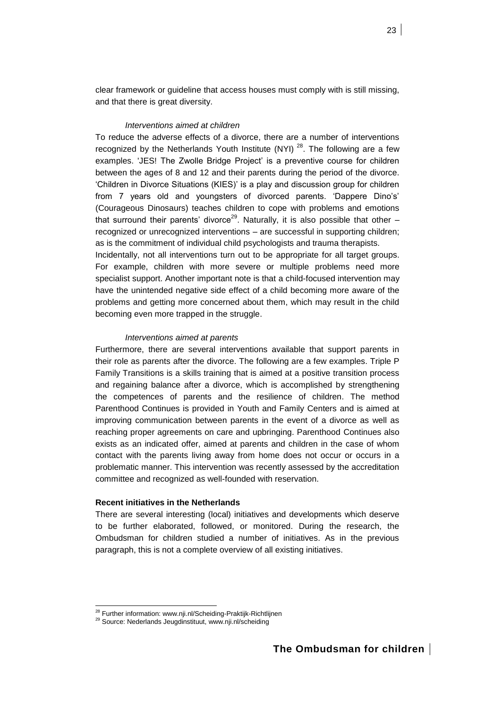clear framework or guideline that access houses must comply with is still missing, and that there is great diversity.

# *Interventions aimed at children*

To reduce the adverse effects of a divorce, there are a number of interventions recognized by the Netherlands Youth Institute (NYI)<sup>28</sup>. The following are a few examples. 'JES! The Zwolle Bridge Project' is a preventive course for children between the ages of 8 and 12 and their parents during the period of the divorce. 'Children in Divorce Situations (KIES)' is a play and discussion group for children from 7 years old and youngsters of divorced parents. 'Dappere Dino's' (Courageous Dinosaurs) teaches children to cope with problems and emotions that surround their parents' divorce<sup>29</sup>. Naturally, it is also possible that other  $$ recognized or unrecognized interventions – are successful in supporting children; as is the commitment of individual child psychologists and trauma therapists.

Incidentally, not all interventions turn out to be appropriate for all target groups. For example, children with more severe or multiple problems need more specialist support. Another important note is that a child-focused intervention may have the unintended negative side effect of a child becoming more aware of the problems and getting more concerned about them, which may result in the child becoming even more trapped in the struggle.

# *Interventions aimed at parents*

Furthermore, there are several interventions available that support parents in their role as parents after the divorce. The following are a few examples. Triple P Family Transitions is a skills training that is aimed at a positive transition process and regaining balance after a divorce, which is accomplished by strengthening the competences of parents and the resilience of children. The method Parenthood Continues is provided in Youth and Family Centers and is aimed at improving communication between parents in the event of a divorce as well as reaching proper agreements on care and upbringing. Parenthood Continues also exists as an indicated offer, aimed at parents and children in the case of whom contact with the parents living away from home does not occur or occurs in a problematic manner. This intervention was recently assessed by the accreditation committee and recognized as well-founded with reservation.

# **Recent initiatives in the Netherlands**

There are several interesting (local) initiatives and developments which deserve to be further elaborated, followed, or monitored. During the research, the Ombudsman for children studied a number of initiatives. As in the previous paragraph, this is not a complete overview of all existing initiatives.

<sup>&</sup>lt;sup>28</sup> Further information: www.nji.nl/Scheiding-Praktijk-Richtlijnen

<sup>29</sup> Source: Nederlands Jeugdinstituut, www.nji.nl/scheiding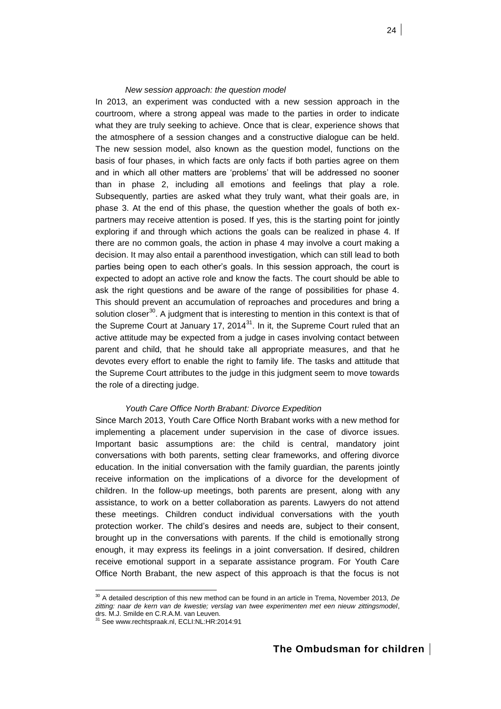### *New session approach: the question model*

In 2013, an experiment was conducted with a new session approach in the courtroom, where a strong appeal was made to the parties in order to indicate what they are truly seeking to achieve. Once that is clear, experience shows that the atmosphere of a session changes and a constructive dialogue can be held. The new session model, also known as the question model, functions on the basis of four phases, in which facts are only facts if both parties agree on them and in which all other matters are 'problems' that will be addressed no sooner than in phase 2, including all emotions and feelings that play a role. Subsequently, parties are asked what they truly want, what their goals are, in phase 3. At the end of this phase, the question whether the goals of both expartners may receive attention is posed. If yes, this is the starting point for jointly exploring if and through which actions the goals can be realized in phase 4. If there are no common goals, the action in phase 4 may involve a court making a decision. It may also entail a parenthood investigation, which can still lead to both parties being open to each other's goals. In this session approach, the court is expected to adopt an active role and know the facts. The court should be able to ask the right questions and be aware of the range of possibilities for phase 4. This should prevent an accumulation of reproaches and procedures and bring a solution closer<sup>30</sup>. A judgment that is interesting to mention in this context is that of the Supreme Court at January 17, 2014 $^{31}$ . In it, the Supreme Court ruled that an active attitude may be expected from a judge in cases involving contact between parent and child, that he should take all appropriate measures, and that he devotes every effort to enable the right to family life. The tasks and attitude that the Supreme Court attributes to the judge in this judgment seem to move towards the role of a directing judge.

# *Youth Care Office North Brabant: Divorce Expedition*

Since March 2013, Youth Care Office North Brabant works with a new method for implementing a placement under supervision in the case of divorce issues. Important basic assumptions are: the child is central, mandatory joint conversations with both parents, setting clear frameworks, and offering divorce education. In the initial conversation with the family guardian, the parents jointly receive information on the implications of a divorce for the development of children. In the follow-up meetings, both parents are present, along with any assistance, to work on a better collaboration as parents. Lawyers do not attend these meetings. Children conduct individual conversations with the youth protection worker. The child's desires and needs are, subject to their consent, brought up in the conversations with parents. If the child is emotionally strong enough, it may express its feelings in a joint conversation. If desired, children receive emotional support in a separate assistance program. For Youth Care Office North Brabant, the new aspect of this approach is that the focus is not

<sup>30</sup> A detailed description of this new method can be found in an article in Trema, November 2013, *De zitting: naar de kern van de kwestie; verslag van twee experimenten met een nieuw zittingsmodel*,

drs. M.J. Smilde en C.R.A.M. van Leuven.<br><sup>31</sup> See www.rechtspraak.nl, ECLI:NL:HR:2014:91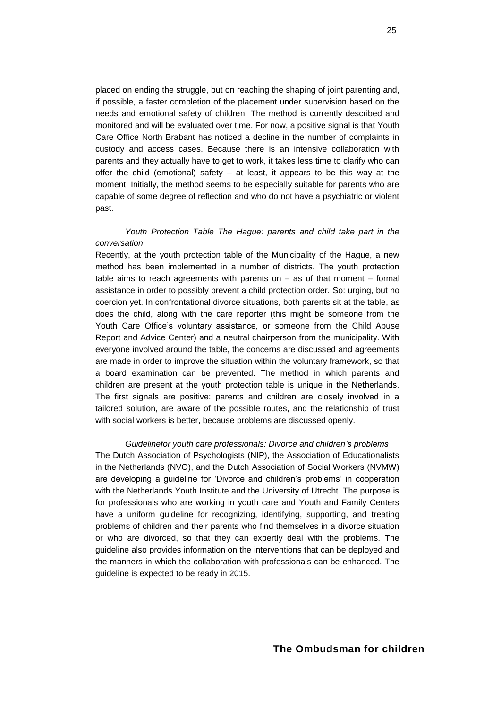placed on ending the struggle, but on reaching the shaping of joint parenting and, if possible, a faster completion of the placement under supervision based on the needs and emotional safety of children. The method is currently described and monitored and will be evaluated over time. For now, a positive signal is that Youth Care Office North Brabant has noticed a decline in the number of complaints in custody and access cases. Because there is an intensive collaboration with parents and they actually have to get to work, it takes less time to clarify who can offer the child (emotional) safety – at least, it appears to be this way at the moment. Initially, the method seems to be especially suitable for parents who are capable of some degree of reflection and who do not have a psychiatric or violent past.

# *Youth Protection Table The Hague: parents and child take part in the conversation*

Recently, at the youth protection table of the Municipality of the Hague, a new method has been implemented in a number of districts. The youth protection table aims to reach agreements with parents on – as of that moment – formal assistance in order to possibly prevent a child protection order. So: urging, but no coercion yet. In confrontational divorce situations, both parents sit at the table, as does the child, along with the care reporter (this might be someone from the Youth Care Office's voluntary assistance, or someone from the Child Abuse Report and Advice Center) and a neutral chairperson from the municipality. With everyone involved around the table, the concerns are discussed and agreements are made in order to improve the situation within the voluntary framework, so that a board examination can be prevented. The method in which parents and children are present at the youth protection table is unique in the Netherlands. The first signals are positive: parents and children are closely involved in a tailored solution, are aware of the possible routes, and the relationship of trust with social workers is better, because problems are discussed openly.

### *Guidelinefor youth care professionals: Divorce and children's problems*

The Dutch Association of Psychologists (NIP), the Association of Educationalists in the Netherlands (NVO), and the Dutch Association of Social Workers (NVMW) are developing a guideline for 'Divorce and children's problems' in cooperation with the Netherlands Youth Institute and the University of Utrecht. The purpose is for professionals who are working in youth care and Youth and Family Centers have a uniform guideline for recognizing, identifying, supporting, and treating problems of children and their parents who find themselves in a divorce situation or who are divorced, so that they can expertly deal with the problems. The guideline also provides information on the interventions that can be deployed and the manners in which the collaboration with professionals can be enhanced. The guideline is expected to be ready in 2015.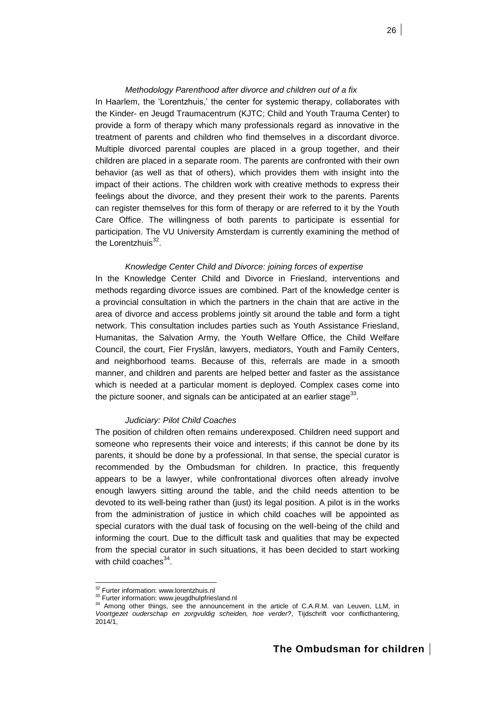### *Methodology Parenthood after divorce and children out of a fix*

In Haarlem, the 'Lorentzhuis,' the center for systemic therapy, collaborates with the Kinder- en Jeugd Traumacentrum (KJTC; Child and Youth Trauma Center) to provide a form of therapy which many professionals regard as innovative in the treatment of parents and children who find themselves in a discordant divorce. Multiple divorced parental couples are placed in a group together, and their children are placed in a separate room. The parents are confronted with their own behavior (as well as that of others), which provides them with insight into the impact of their actions. The children work with creative methods to express their feelings about the divorce, and they present their work to the parents. Parents can register themselves for this form of therapy or are referred to it by the Youth Care Office. The willingness of both parents to participate is essential for participation. The VU University Amsterdam is currently examining the method of the Lorentzhuis<sup>32</sup>.

### *Knowledge Center Child and Divorce: joining forces of expertise*

In the Knowledge Center Child and Divorce in Friesland, interventions and methods regarding divorce issues are combined. Part of the knowledge center is a provincial consultation in which the partners in the chain that are active in the area of divorce and access problems jointly sit around the table and form a tight network. This consultation includes parties such as Youth Assistance Friesland, Humanitas, the Salvation Army, the Youth Welfare Office, the Child Welfare Council, the court, Fier Fryslân, lawyers, mediators, Youth and Family Centers, and neighborhood teams. Because of this, referrals are made in a smooth manner, and children and parents are helped better and faster as the assistance which is needed at a particular moment is deployed. Complex cases come into the picture sooner, and signals can be anticipated at an earlier stage $^{33}$ .

### *Judiciary: Pilot Child Coaches*

The position of children often remains underexposed. Children need support and someone who represents their voice and interests; if this cannot be done by its parents, it should be done by a professional. In that sense, the special curator is recommended by the Ombudsman for children. In practice, this frequently appears to be a lawyer, while confrontational divorces often already involve enough lawyers sitting around the table, and the child needs attention to be devoted to its well-being rather than (just) its legal position. A pilot is in the works from the administration of justice in which child coaches will be appointed as special curators with the dual task of focusing on the well-being of the child and informing the court. Due to the difficult task and qualities that may be expected from the special curator in such situations, it has been decided to start working with child coaches<sup>34</sup>.

<sup>&</sup>lt;sup>32</sup> Furter information: www.lorentzhuis.nl

<sup>&</sup>lt;sup>33</sup> Furter information: www.jeugdhulpfriesland.nl

<sup>&</sup>lt;sup>34</sup> Among other things, see the announcement in the article of C.A.R.M. van Leuven, LLM, in *Voortgezet ouderschap en zorgvuldig scheiden, hoe verder?*, Tijdschrift voor conflicthantering,  $2014/1$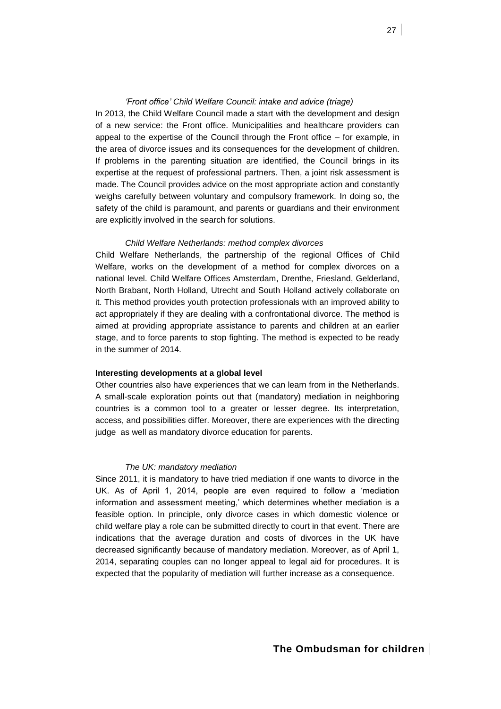### *'Front office' Child Welfare Council: intake and advice (triage)*

In 2013, the Child Welfare Council made a start with the development and design of a new service: the Front office. Municipalities and healthcare providers can appeal to the expertise of the Council through the Front office – for example, in the area of divorce issues and its consequences for the development of children. If problems in the parenting situation are identified, the Council brings in its expertise at the request of professional partners. Then, a joint risk assessment is made. The Council provides advice on the most appropriate action and constantly weighs carefully between voluntary and compulsory framework. In doing so, the safety of the child is paramount, and parents or guardians and their environment are explicitly involved in the search for solutions.

## *Child Welfare Netherlands: method complex divorces*

Child Welfare Netherlands, the partnership of the regional Offices of Child Welfare, works on the development of a method for complex divorces on a national level. Child Welfare Offices Amsterdam, Drenthe, Friesland, Gelderland, North Brabant, North Holland, Utrecht and South Holland actively collaborate on it. This method provides youth protection professionals with an improved ability to act appropriately if they are dealing with a confrontational divorce. The method is aimed at providing appropriate assistance to parents and children at an earlier stage, and to force parents to stop fighting. The method is expected to be ready in the summer of 2014.

# **Interesting developments at a global level**

Other countries also have experiences that we can learn from in the Netherlands. A small-scale exploration points out that (mandatory) mediation in neighboring countries is a common tool to a greater or lesser degree. Its interpretation, access, and possibilities differ. Moreover, there are experiences with the directing judge as well as mandatory divorce education for parents.

# *The UK: mandatory mediation*

Since 2011, it is mandatory to have tried mediation if one wants to divorce in the UK. As of April 1, 2014, people are even required to follow a 'mediation information and assessment meeting,' which determines whether mediation is a feasible option. In principle, only divorce cases in which domestic violence or child welfare play a role can be submitted directly to court in that event. There are indications that the average duration and costs of divorces in the UK have decreased significantly because of mandatory mediation. Moreover, as of April 1, 2014, separating couples can no longer appeal to legal aid for procedures. It is expected that the popularity of mediation will further increase as a consequence.

27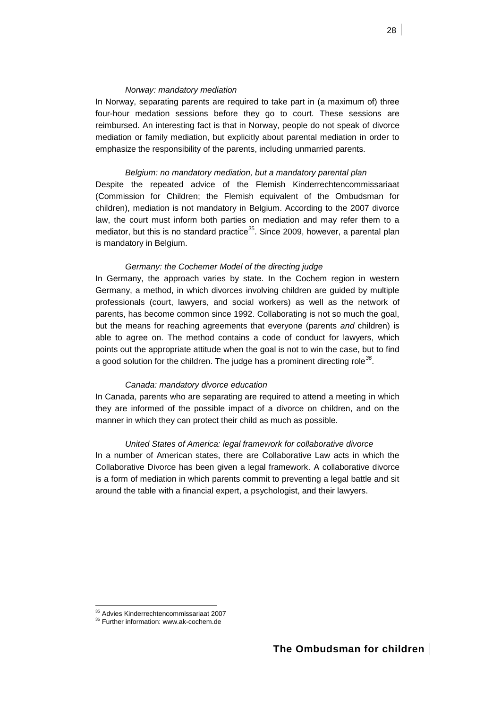# *Norway: mandatory mediation*

In Norway, separating parents are required to take part in (a maximum of) three four-hour medation sessions before they go to court. These sessions are reimbursed. An interesting fact is that in Norway, people do not speak of divorce mediation or family mediation, but explicitly about parental mediation in order to emphasize the responsibility of the parents, including unmarried parents.

# *Belgium: no mandatory mediation, but a mandatory parental plan*

Despite the repeated advice of the Flemish Kinderrechtencommissariaat (Commission for Children; the Flemish equivalent of the Ombudsman for children), mediation is not mandatory in Belgium. According to the 2007 divorce law, the court must inform both parties on mediation and may refer them to a mediator, but this is no standard practice<sup>35</sup>. Since 2009, however, a parental plan is mandatory in Belgium.

## *Germany: the Cochemer Model of the directing judge*

In Germany, the approach varies by state. In the Cochem region in western Germany, a method, in which divorces involving children are guided by multiple professionals (court, lawyers, and social workers) as well as the network of parents, has become common since 1992. Collaborating is not so much the goal, but the means for reaching agreements that everyone (parents *and* children) is able to agree on. The method contains a code of conduct for lawyers, which points out the appropriate attitude when the goal is not to win the case, but to find a good solution for the children. The judge has a prominent directing role*<sup>36</sup>* .

### *Canada: mandatory divorce education*

In Canada, parents who are separating are required to attend a meeting in which they are informed of the possible impact of a divorce on children, and on the manner in which they can protect their child as much as possible.

# *United States of America: legal framework for collaborative divorce*

In a number of American states, there are Collaborative Law acts in which the Collaborative Divorce has been given a legal framework. A collaborative divorce is a form of mediation in which parents commit to preventing a legal battle and sit around the table with a financial expert, a psychologist, and their lawyers.

<sup>&</sup>lt;sup>35</sup> Advies Kinderrechtencommissariaat 2007

<sup>36</sup> Further information[: www.ak-cochem.de](http://www.ak-cochem.de/)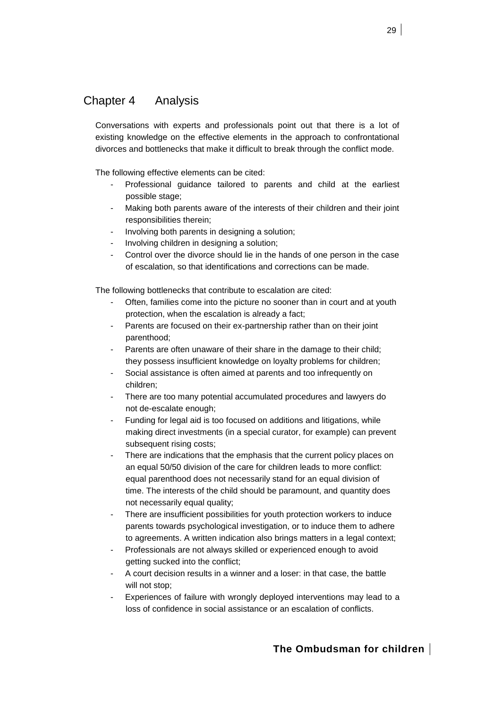# <span id="page-28-0"></span>Chapter 4 Analysis

Conversations with experts and professionals point out that there is a lot of existing knowledge on the effective elements in the approach to confrontational divorces and bottlenecks that make it difficult to break through the conflict mode.

The following effective elements can be cited:

- Professional guidance tailored to parents and child at the earliest possible stage;
- Making both parents aware of the interests of their children and their joint responsibilities therein;
- Involving both parents in designing a solution;
- Involving children in designing a solution;
- Control over the divorce should lie in the hands of one person in the case of escalation, so that identifications and corrections can be made.

The following bottlenecks that contribute to escalation are cited:

- Often, families come into the picture no sooner than in court and at youth protection, when the escalation is already a fact;
- Parents are focused on their ex-partnership rather than on their joint parenthood;
- Parents are often unaware of their share in the damage to their child; they possess insufficient knowledge on loyalty problems for children;
- Social assistance is often aimed at parents and too infrequently on children;
- There are too many potential accumulated procedures and lawyers do not de-escalate enough;
- Funding for legal aid is too focused on additions and litigations, while making direct investments (in a special curator, for example) can prevent subsequent rising costs;
- There are indications that the emphasis that the current policy places on an equal 50/50 division of the care for children leads to more conflict: equal parenthood does not necessarily stand for an equal division of time. The interests of the child should be paramount, and quantity does not necessarily equal quality;
- There are insufficient possibilities for youth protection workers to induce parents towards psychological investigation, or to induce them to adhere to agreements. A written indication also brings matters in a legal context;
- Professionals are not always skilled or experienced enough to avoid getting sucked into the conflict;
- A court decision results in a winner and a loser: in that case, the battle will not stop;
- Experiences of failure with wrongly deployed interventions may lead to a loss of confidence in social assistance or an escalation of conflicts.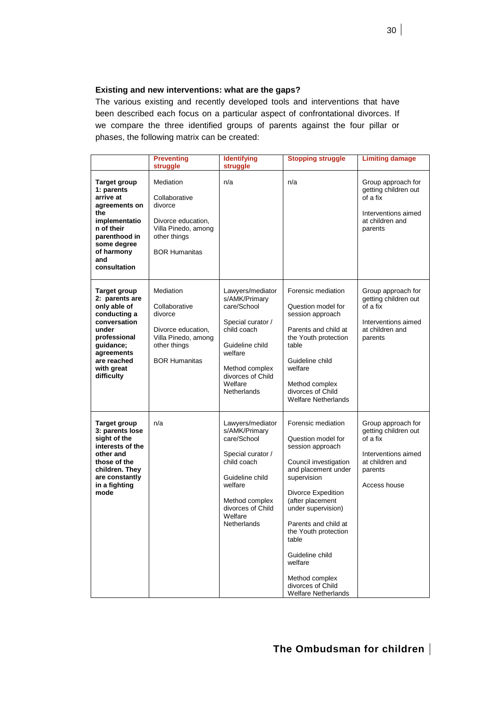# **Existing and new interventions: what are the gaps?**

The various existing and recently developed tools and interventions that have been described each focus on a particular aspect of confrontational divorces. If we compare the three identified groups of parents against the four pillar or phases, the following matrix can be created:

|                                                                                                                                                                                      | <b>Preventing</b><br>struggle                                                                                              | <b>Identifying</b><br>struggle                                                                                                                                                      | <b>Stopping struggle</b>                                                                                                                                                                                                                                                                                                                                | <b>Limiting damage</b>                                                                                                      |
|--------------------------------------------------------------------------------------------------------------------------------------------------------------------------------------|----------------------------------------------------------------------------------------------------------------------------|-------------------------------------------------------------------------------------------------------------------------------------------------------------------------------------|---------------------------------------------------------------------------------------------------------------------------------------------------------------------------------------------------------------------------------------------------------------------------------------------------------------------------------------------------------|-----------------------------------------------------------------------------------------------------------------------------|
| <b>Target group</b><br>1: parents<br>arrive at<br>agreements on<br>the<br>implementatio<br>n of their<br>parenthood in<br>some degree<br>of harmony<br>and<br>consultation           | Mediation<br>Collaborative<br>divorce<br>Divorce education,<br>Villa Pinedo, among<br>other things<br><b>BOR Humanitas</b> | n/a                                                                                                                                                                                 | n/a                                                                                                                                                                                                                                                                                                                                                     | Group approach for<br>getting children out<br>of a fix<br>Interventions aimed<br>at children and<br>parents                 |
| <b>Target group</b><br>2: parents are<br>only able of<br>conducting a<br>conversation<br>under<br>professional<br>guidance;<br>agreements<br>are reached<br>with great<br>difficulty | Mediation<br>Collaborative<br>divorce<br>Divorce education,<br>Villa Pinedo, among<br>other things<br><b>BOR Humanitas</b> | Lawyers/mediator<br>s/AMK/Primary<br>care/School<br>Special curator /<br>child coach<br>Guideline child<br>welfare<br>Method complex<br>divorces of Child<br>Welfare<br>Netherlands | Forensic mediation<br>Question model for<br>session approach<br>Parents and child at<br>the Youth protection<br>table<br>Guideline child<br>welfare<br>Method complex<br>divorces of Child<br><b>Welfare Netherlands</b>                                                                                                                                | Group approach for<br>getting children out<br>of a fix<br>Interventions aimed<br>at children and<br>parents                 |
| <b>Target group</b><br>3: parents lose<br>sight of the<br>interests of the<br>other and<br>those of the<br>children. They<br>are constantly<br>in a fighting<br>mode                 | n/a                                                                                                                        | Lawyers/mediator<br>s/AMK/Primary<br>care/School<br>Special curator /<br>child coach<br>Guideline child<br>welfare<br>Method complex<br>divorces of Child<br>Welfare<br>Netherlands | Forensic mediation<br>Question model for<br>session approach<br>Council investigation<br>and placement under<br>supervision<br>Divorce Expedition<br>(after placement<br>under supervision)<br>Parents and child at<br>the Youth protection<br>table<br>Guideline child<br>welfare<br>Method complex<br>divorces of Child<br><b>Welfare Netherlands</b> | Group approach for<br>getting children out<br>of a fix<br>Interventions aimed<br>at children and<br>parents<br>Access house |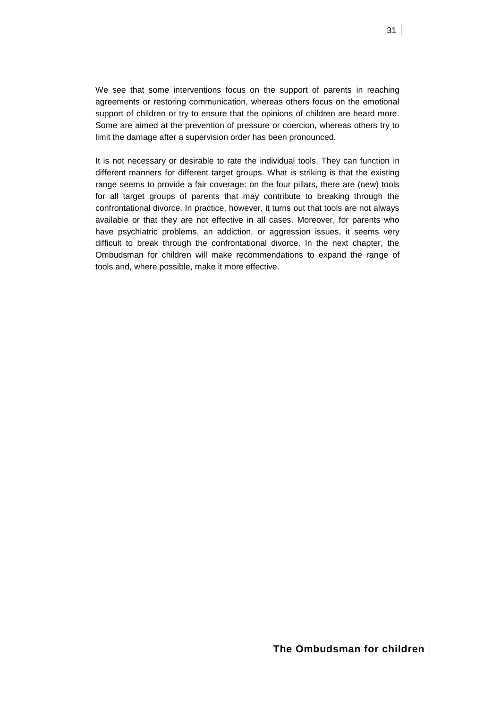We see that some interventions focus on the support of parents in reaching agreements or restoring communication, whereas others focus on the emotional support of children or try to ensure that the opinions of children are heard more. Some are aimed at the prevention of pressure or coercion, whereas others try to limit the damage after a supervision order has been pronounced.

It is not necessary or desirable to rate the individual tools. They can function in different manners for different target groups. What is striking is that the existing range seems to provide a fair coverage: on the four pillars, there are (new) tools for all target groups of parents that may contribute to breaking through the confrontational divorce. In practice, however, it turns out that tools are not always available or that they are not effective in all cases. Moreover, for parents who have psychiatric problems, an addiction, or aggression issues, it seems very difficult to break through the confrontational divorce. In the next chapter, the Ombudsman for children will make recommendations to expand the range of tools and, where possible, make it more effective.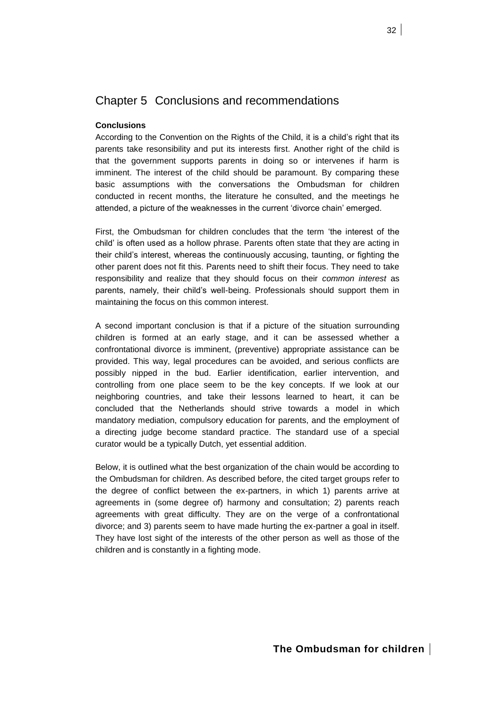# <span id="page-31-0"></span>Chapter 5 Conclusions and recommendations

# **Conclusions**

According to the Convention on the Rights of the Child, it is a child's right that its parents take resonsibility and put its interests first. Another right of the child is that the government supports parents in doing so or intervenes if harm is imminent. The interest of the child should be paramount. By comparing these basic assumptions with the conversations the Ombudsman for children conducted in recent months, the literature he consulted, and the meetings he attended, a picture of the weaknesses in the current 'divorce chain' emerged.

First, the Ombudsman for children concludes that the term 'the interest of the child' is often used as a hollow phrase. Parents often state that they are acting in their child's interest, whereas the continuously accusing, taunting, or fighting the other parent does not fit this. Parents need to shift their focus. They need to take responsibility and realize that they should focus on their *common interest* as parents, namely, their child's well-being. Professionals should support them in maintaining the focus on this common interest.

A second important conclusion is that if a picture of the situation surrounding children is formed at an early stage, and it can be assessed whether a confrontational divorce is imminent, (preventive) appropriate assistance can be provided. This way, legal procedures can be avoided, and serious conflicts are possibly nipped in the bud. Earlier identification, earlier intervention, and controlling from one place seem to be the key concepts. If we look at our neighboring countries, and take their lessons learned to heart, it can be concluded that the Netherlands should strive towards a model in which mandatory mediation, compulsory education for parents, and the employment of a directing judge become standard practice. The standard use of a special curator would be a typically Dutch, yet essential addition.

Below, it is outlined what the best organization of the chain would be according to the Ombudsman for children. As described before, the cited target groups refer to the degree of conflict between the ex-partners, in which 1) parents arrive at agreements in (some degree of) harmony and consultation; 2) parents reach agreements with great difficulty. They are on the verge of a confrontational divorce; and 3) parents seem to have made hurting the ex-partner a goal in itself. They have lost sight of the interests of the other person as well as those of the children and is constantly in a fighting mode.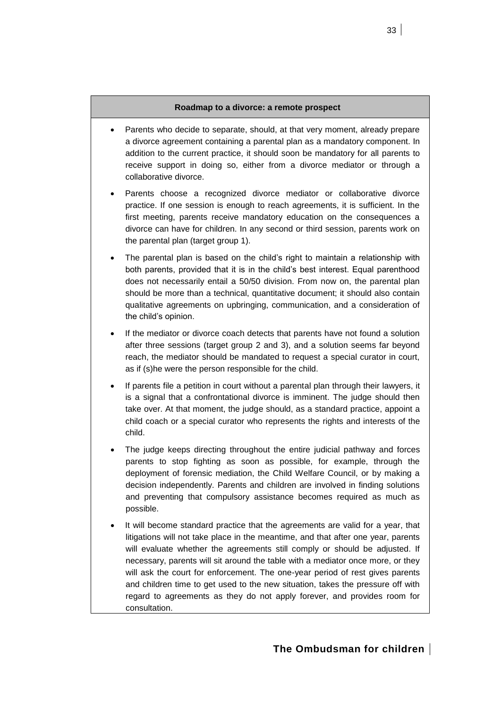# **Roadmap to a divorce: a remote prospect**

- Parents who decide to separate, should, at that very moment, already prepare a divorce agreement containing a parental plan as a mandatory component. In addition to the current practice, it should soon be mandatory for all parents to receive support in doing so, either from a divorce mediator or through a collaborative divorce.
- Parents choose a recognized divorce mediator or collaborative divorce practice. If one session is enough to reach agreements, it is sufficient. In the first meeting, parents receive mandatory education on the consequences a divorce can have for children. In any second or third session, parents work on the parental plan (target group 1).
- The parental plan is based on the child's right to maintain a relationship with both parents, provided that it is in the child's best interest. Equal parenthood does not necessarily entail a 50/50 division. From now on, the parental plan should be more than a technical, quantitative document; it should also contain qualitative agreements on upbringing, communication, and a consideration of the child's opinion.
- If the mediator or divorce coach detects that parents have not found a solution after three sessions (target group 2 and 3), and a solution seems far beyond reach, the mediator should be mandated to request a special curator in court, as if (s)he were the person responsible for the child.
- If parents file a petition in court without a parental plan through their lawyers, it is a signal that a confrontational divorce is imminent. The judge should then take over. At that moment, the judge should, as a standard practice, appoint a child coach or a special curator who represents the rights and interests of the child.
- The judge keeps directing throughout the entire judicial pathway and forces parents to stop fighting as soon as possible, for example, through the deployment of forensic mediation, the Child Welfare Council, or by making a decision independently. Parents and children are involved in finding solutions and preventing that compulsory assistance becomes required as much as possible.
- It will become standard practice that the agreements are valid for a year, that litigations will not take place in the meantime, and that after one year, parents will evaluate whether the agreements still comply or should be adjusted. If necessary, parents will sit around the table with a mediator once more, or they will ask the court for enforcement. The one-year period of rest gives parents and children time to get used to the new situation, takes the pressure off with regard to agreements as they do not apply forever, and provides room for consultation.

# **The Ombudsman for children**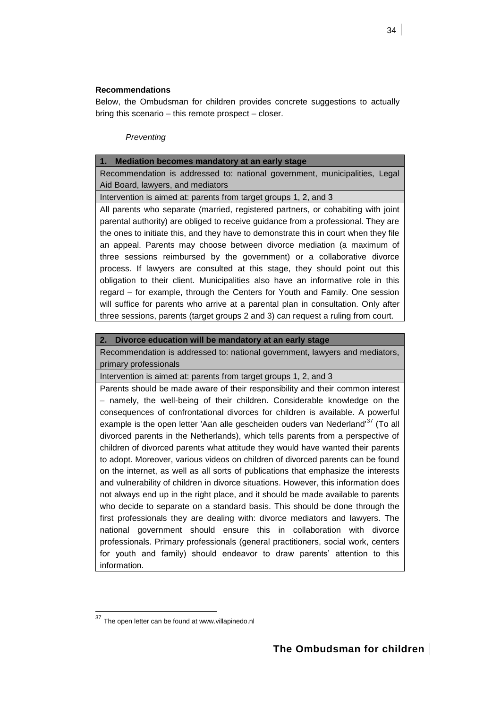# **Recommendations**

Below, the Ombudsman for children provides concrete suggestions to actually bring this scenario – this remote prospect – closer.

# *Preventing*

# **1. Mediation becomes mandatory at an early stage**

Recommendation is addressed to: national government, municipalities, Legal Aid Board, lawyers, and mediators

Intervention is aimed at: parents from target groups 1, 2, and 3

All parents who separate (married, registered partners, or cohabiting with joint parental authority) are obliged to receive guidance from a professional. They are the ones to initiate this, and they have to demonstrate this in court when they file an appeal. Parents may choose between divorce mediation (a maximum of three sessions reimbursed by the government) or a collaborative divorce process. If lawyers are consulted at this stage, they should point out this obligation to their client. Municipalities also have an informative role in this regard – for example, through the Centers for Youth and Family. One session will suffice for parents who arrive at a parental plan in consultation. Only after three sessions, parents (target groups 2 and 3) can request a ruling from court.

# **2. Divorce education will be mandatory at an early stage**

Recommendation is addressed to: national government, lawyers and mediators, primary professionals

Intervention is aimed at: parents from target groups 1, 2, and 3

Parents should be made aware of their responsibility and their common interest – namely, the well-being of their children. Considerable knowledge on the consequences of confrontational divorces for children is available. A powerful example is the open letter 'Aan alle gescheiden ouders van Nederland'<sup>37</sup> (To all divorced parents in the Netherlands), which tells parents from a perspective of children of divorced parents what attitude they would have wanted their parents to adopt. Moreover, various videos on children of divorced parents can be found on the internet, as well as all sorts of publications that emphasize the interests and vulnerability of children in divorce situations. However, this information does not always end up in the right place, and it should be made available to parents who decide to separate on a standard basis. This should be done through the first professionals they are dealing with: divorce mediators and lawyers. The national government should ensure this in collaboration with divorce professionals. Primary professionals (general practitioners, social work, centers for youth and family) should endeavor to draw parents' attention to this information.

<sup>&</sup>lt;sup>37</sup> The open letter can be found at www.villapinedo.nl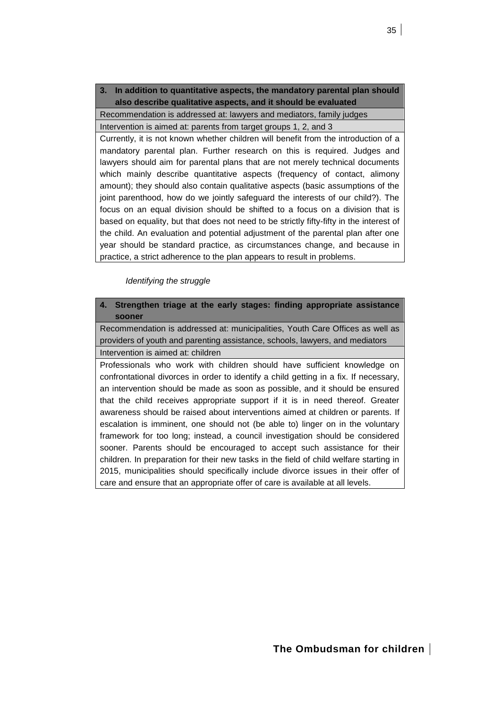# **3. In addition to quantitative aspects, the mandatory parental plan should also describe qualitative aspects, and it should be evaluated**

Recommendation is addressed at: lawyers and mediators, family judges Intervention is aimed at: parents from target groups 1, 2, and 3

Currently, it is not known whether children will benefit from the introduction of a mandatory parental plan. Further research on this is required. Judges and lawyers should aim for parental plans that are not merely technical documents which mainly describe quantitative aspects (frequency of contact, alimony amount); they should also contain qualitative aspects (basic assumptions of the joint parenthood, how do we jointly safeguard the interests of our child?). The focus on an equal division should be shifted to a focus on a division that is based on equality, but that does not need to be strictly fifty-fifty in the interest of the child. An evaluation and potential adjustment of the parental plan after one year should be standard practice, as circumstances change, and because in practice, a strict adherence to the plan appears to result in problems.

# *Identifying the struggle*

**4. Strengthen triage at the early stages: finding appropriate assistance sooner**

Recommendation is addressed at: municipalities, Youth Care Offices as well as providers of youth and parenting assistance, schools, lawyers, and mediators Intervention is aimed at: children

Professionals who work with children should have sufficient knowledge on confrontational divorces in order to identify a child getting in a fix. If necessary, an intervention should be made as soon as possible, and it should be ensured that the child receives appropriate support if it is in need thereof. Greater awareness should be raised about interventions aimed at children or parents. If escalation is imminent, one should not (be able to) linger on in the voluntary framework for too long; instead, a council investigation should be considered sooner. Parents should be encouraged to accept such assistance for their children. In preparation for their new tasks in the field of child welfare starting in 2015, municipalities should specifically include divorce issues in their offer of care and ensure that an appropriate offer of care is available at all levels.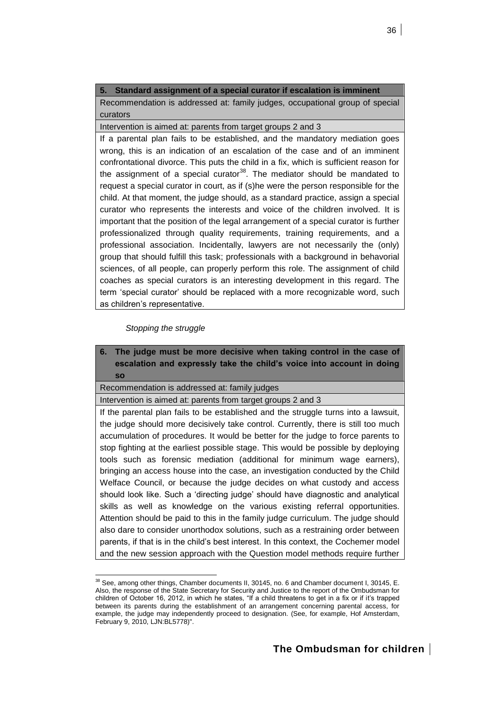# **5. Standard assignment of a special curator if escalation is imminent**

Recommendation is addressed at: family judges, occupational group of special curators

Intervention is aimed at: parents from target groups 2 and 3

If a parental plan fails to be established, and the mandatory mediation goes wrong, this is an indication of an escalation of the case and of an imminent confrontational divorce. This puts the child in a fix, which is sufficient reason for the assignment of a special curator<sup>38</sup>. The mediator should be mandated to request a special curator in court, as if (s)he were the person responsible for the child. At that moment, the judge should, as a standard practice, assign a special curator who represents the interests and voice of the children involved. It is important that the position of the legal arrangement of a special curator is further professionalized through quality requirements, training requirements, and a professional association. Incidentally, lawyers are not necessarily the (only) group that should fulfill this task; professionals with a background in behavorial sciences, of all people, can properly perform this role. The assignment of child coaches as special curators is an interesting development in this regard. The term 'special curator' should be replaced with a more recognizable word, such as children's representative.

# *Stopping the struggle*

l

**6. The judge must be more decisive when taking control in the case of escalation and expressly take the child's voice into account in doing so** Recommendation is addressed at: family judges Intervention is aimed at: parents from target groups 2 and 3 If the parental plan fails to be established and the struggle turns into a lawsuit, the judge should more decisively take control. Currently, there is still too much accumulation of procedures. It would be better for the judge to force parents to stop fighting at the earliest possible stage. This would be possible by deploying tools such as forensic mediation (additional for minimum wage earners), bringing an access house into the case, an investigation conducted by the Child Welface Council, or because the judge decides on what custody and access should look like. Such a 'directing judge' should have diagnostic and analytical skills as well as knowledge on the various existing referral opportunities. Attention should be paid to this in the family judge curriculum. The judge should also dare to consider unorthodox solutions, such as a restraining order between parents, if that is in the child's best interest. In this context, the Cochemer model and the new session approach with the Question model methods require further

<sup>38</sup> See, among other things, Chamber documents II, 30145, no. 6 and Chamber document I, 30145, E. Also, the response of the State Secretary for Security and Justice to the report of the Ombudsman for children of October 16, 2012, in which he states, "If a child threatens to get in a fix or if it's trapped between its parents during the establishment of an arrangement concerning parental access, for example, the judge may independently proceed to designation. (See, for example, Hof Amsterdam, February 9, 2010, LJN:BL5778)".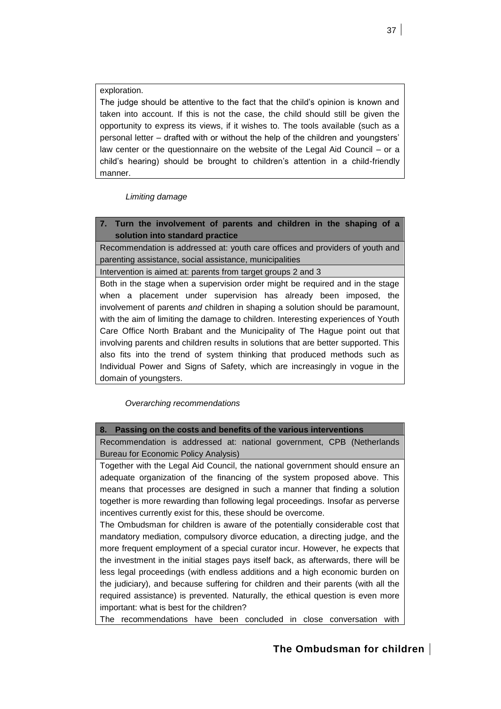exploration.

The judge should be attentive to the fact that the child's opinion is known and taken into account. If this is not the case, the child should still be given the opportunity to express its views, if it wishes to. The tools available (such as a personal letter – drafted with or without the help of the children and youngsters' law center or the questionnaire on the website of the Legal Aid Council – or a child's hearing) should be brought to children's attention in a child-friendly manner.

*Limiting damage*

**7. Turn the involvement of parents and children in the shaping of a solution into standard practice**

Recommendation is addressed at: youth care offices and providers of youth and parenting assistance, social assistance, municipalities

Intervention is aimed at: parents from target groups 2 and 3

Both in the stage when a supervision order might be required and in the stage when a placement under supervision has already been imposed, the involvement of parents *and* children in shaping a solution should be paramount, with the aim of limiting the damage to children. Interesting experiences of Youth Care Office North Brabant and the Municipality of The Hague point out that involving parents and children results in solutions that are better supported. This also fits into the trend of system thinking that produced methods such as Individual Power and Signs of Safety, which are increasingly in vogue in the domain of youngsters.

*Overarching recommendations*

**8. Passing on the costs and benefits of the various interventions**

Recommendation is addressed at: national government, CPB (Netherlands Bureau for Economic Policy Analysis)

Together with the Legal Aid Council, the national government should ensure an adequate organization of the financing of the system proposed above. This means that processes are designed in such a manner that finding a solution together is more rewarding than following legal proceedings. Insofar as perverse incentives currently exist for this, these should be overcome.

The Ombudsman for children is aware of the potentially considerable cost that mandatory mediation, compulsory divorce education, a directing judge, and the more frequent employment of a special curator incur. However, he expects that the investment in the initial stages pays itself back, as afterwards, there will be less legal proceedings (with endless additions and a high economic burden on the judiciary), and because suffering for children and their parents (with all the required assistance) is prevented. Naturally, the ethical question is even more important: what is best for the children?

The recommendations have been concluded in close conversation with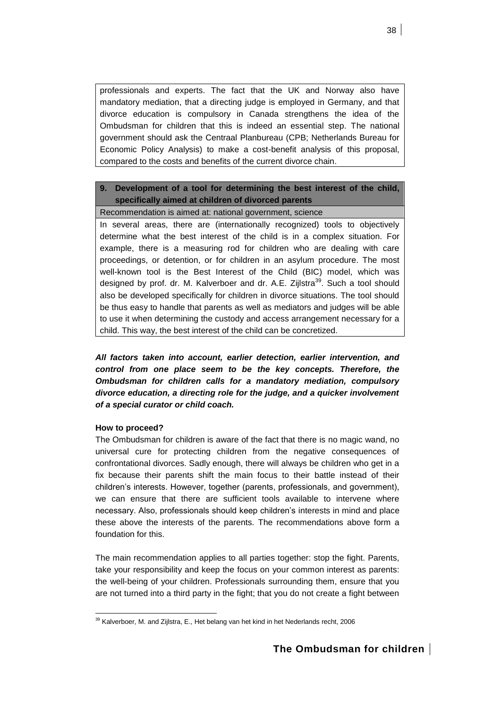professionals and experts. The fact that the UK and Norway also have mandatory mediation, that a directing judge is employed in Germany, and that divorce education is compulsory in Canada strengthens the idea of the Ombudsman for children that this is indeed an essential step. The national government should ask the Centraal Planbureau (CPB; Netherlands Bureau for Economic Policy Analysis) to make a cost-benefit analysis of this proposal, compared to the costs and benefits of the current divorce chain.

# **9. Development of a tool for determining the best interest of the child, specifically aimed at children of divorced parents**

Recommendation is aimed at: national government, science

In several areas, there are (internationally recognized) tools to objectively determine what the best interest of the child is in a complex situation. For example, there is a measuring rod for children who are dealing with care proceedings, or detention, or for children in an asylum procedure. The most well-known tool is the Best Interest of the Child (BIC) model, which was designed by prof. dr. M. Kalverboer and dr. A.E. Zijlstra<sup>39</sup>. Such a tool should also be developed specifically for children in divorce situations. The tool should be thus easy to handle that parents as well as mediators and judges will be able to use it when determining the custody and access arrangement necessary for a child. This way, the best interest of the child can be concretized.

*All factors taken into account, earlier detection, earlier intervention, and control from one place seem to be the key concepts. Therefore, the Ombudsman for children calls for a mandatory mediation, compulsory divorce education, a directing role for the judge, and a quicker involvement of a special curator or child coach.*

# **How to proceed?**

The Ombudsman for children is aware of the fact that there is no magic wand, no universal cure for protecting children from the negative consequences of confrontational divorces. Sadly enough, there will always be children who get in a fix because their parents shift the main focus to their battle instead of their children's interests. However, together (parents, professionals, and government), we can ensure that there are sufficient tools available to intervene where necessary. Also, professionals should keep children's interests in mind and place these above the interests of the parents. The recommendations above form a foundation for this.

The main recommendation applies to all parties together: stop the fight. Parents, take your responsibility and keep the focus on your common interest as parents: the well-being of your children. Professionals surrounding them, ensure that you are not turned into a third party in the fight; that you do not create a fight between

l  $39$  Kalverboer, M. and Zijlstra, E., Het belang van het kind in het Nederlands recht, 2006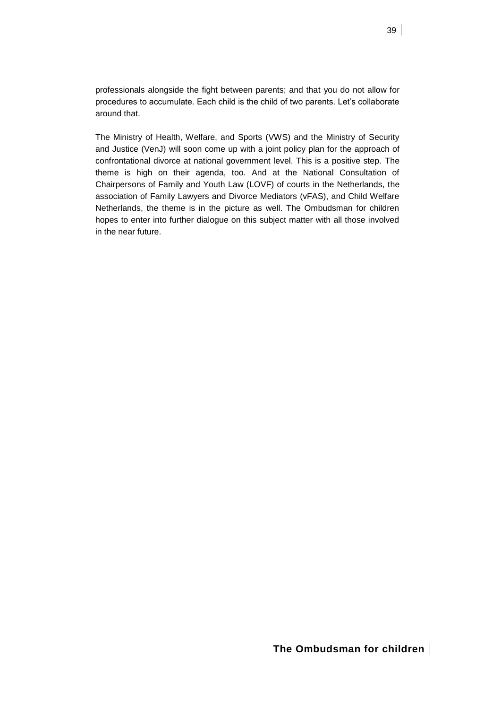professionals alongside the fight between parents; and that you do not allow for procedures to accumulate. Each child is the child of two parents. Let's collaborate around that.

The Ministry of Health, Welfare, and Sports (VWS) and the Ministry of Security and Justice (VenJ) will soon come up with a joint policy plan for the approach of confrontational divorce at national government level. This is a positive step. The theme is high on their agenda, too. And at the National Consultation of Chairpersons of Family and Youth Law (LOVF) of courts in the Netherlands, the association of Family Lawyers and Divorce Mediators (vFAS), and Child Welfare Netherlands, the theme is in the picture as well. The Ombudsman for children hopes to enter into further dialogue on this subject matter with all those involved in the near future.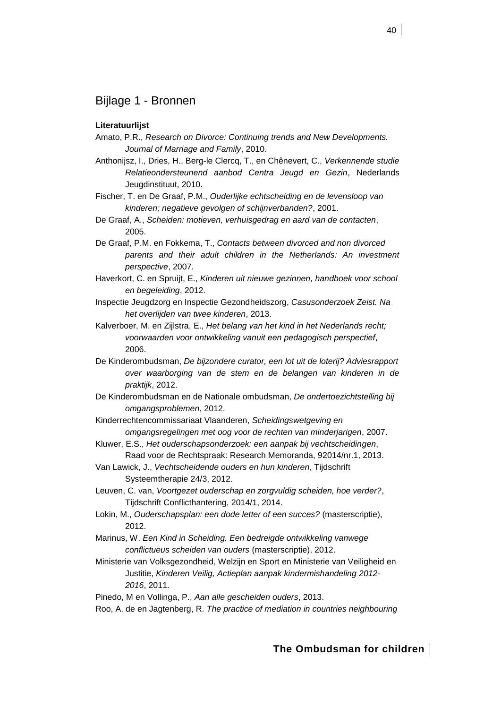# <span id="page-39-0"></span>Bijlage 1 - Bronnen

# **Literatuurlijst**

- Amato, P.R., *Research on Divorce: Continuing trends and New Developments. Journal of Marriage and Family*, 2010.
- Anthonijsz, I., Dries, H., Berg-le Clercq, T., en Chênevert, C., *Verkennende studie Relatieondersteunend aanbod Centra Jeugd en Gezin*, Nederlands Jeugdinstituut, 2010.
- Fischer, T. en De Graaf, P.M., *Ouderlijke echtscheiding en de levensloop van kinderen; negatieve gevolgen of schijnverbanden?*, 2001.
- De Graaf, A., *Scheiden: motieven, verhuisgedrag en aard van de contacten*, 2005.
- De Graaf, P.M. en Fokkema, T., *Contacts between divorced and non divorced parents and their adult children in the Netherlands: An investment perspective*, 2007.
- Haverkort, C. en Spruijt, E., *Kinderen uit nieuwe gezinnen, handboek voor school en begeleiding*, 2012.
- Inspectie Jeugdzorg en Inspectie Gezondheidszorg, *Casusonderzoek Zeist. Na het overlijden van twee kinderen*, 2013.
- Kalverboer, M. en Zijlstra, E., *Het belang van het kind in het Nederlands recht; voorwaarden voor ontwikkeling vanuit een pedagogisch perspectief*, 2006.
- De Kinderombudsman, *De bijzondere curator, een lot uit de loterij? Adviesrapport over waarborging van de stem en de belangen van kinderen in de praktijk*, 2012.
- De Kinderombudsman en de Nationale ombudsman, *De ondertoezichtstelling bij omgangsproblemen*, 2012.
- Kinderrechtencommissariaat Vlaanderen, *Scheidingswetgeving en omgangsregelingen met oog voor de rechten van minderjarigen*, 2007.
- Kluwer, E.S., *Het ouderschapsonderzoek: een aanpak bij vechtscheidingen*, Raad voor de Rechtspraak: Research Memoranda, 92014/nr.1, 2013.
- Van Lawick, J., *Vechtscheidende ouders en hun kinderen*, Tijdschrift Systeemtherapie 24/3, 2012.
- Leuven, C. van, *Voortgezet ouderschap en zorgvuldig scheiden, hoe verder?*, Tijdschrift Conflicthantering, 2014/1, 2014.
- Lokin, M., *Ouderschapsplan: een dode letter of een succes?* (masterscriptie), 2012.
- Marinus, W. *Een Kind in Scheiding. Een bedreigde ontwikkeling vanwege conflictueus scheiden van ouders* (masterscriptie), 2012.
- Ministerie van Volksgezondheid, Welzijn en Sport en Ministerie van Veiligheid en Justitie, *Kinderen Veilig, Actieplan aanpak kindermishandeling 2012- 2016*, 2011.
- Pinedo, M en Vollinga, P., *Aan alle gescheiden ouders*, 2013.
- Roo, A. de en Jagtenberg, R. *The practice of mediation in countries neighbouring*

# **The Ombudsman for children**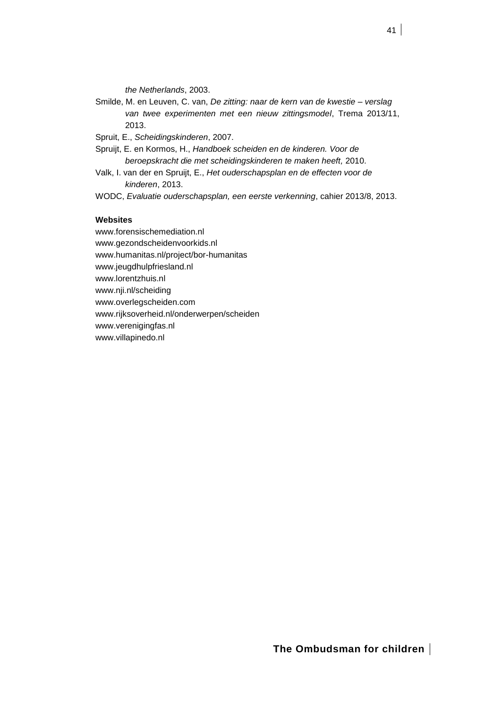*the Netherlands*, 2003.

Smilde, M. en Leuven, C. van, *De zitting: naar de kern van de kwestie – verslag van twee experimenten met een nieuw zittingsmodel*, Trema 2013/11, 2013.

Spruit, E., *Scheidingskinderen*, 2007.

- Spruijt, E. en Kormos, H., *Handboek scheiden en de kinderen. Voor de beroepskracht die met scheidingskinderen te maken heeft,* 2010.
- Valk, I. van der en Spruijt, E., *Het ouderschapsplan en de effecten voor de kinderen*, 2013.
- WODC, *Evaluatie ouderschapsplan, een eerste verkenning*, cahier 2013/8, 2013.

# **Websites**

www.forensischemediation.nl www.gezondscheidenvoorkids.nl www.humanitas.nl/project/bor-humanitas www.jeugdhulpfriesland.nl www.lorentzhuis.nl www.nji.nl/scheiding www.overlegscheiden.com www.rijksoverheid.nl/onderwerpen/scheiden www.verenigingfas.nl www.villapinedo.nl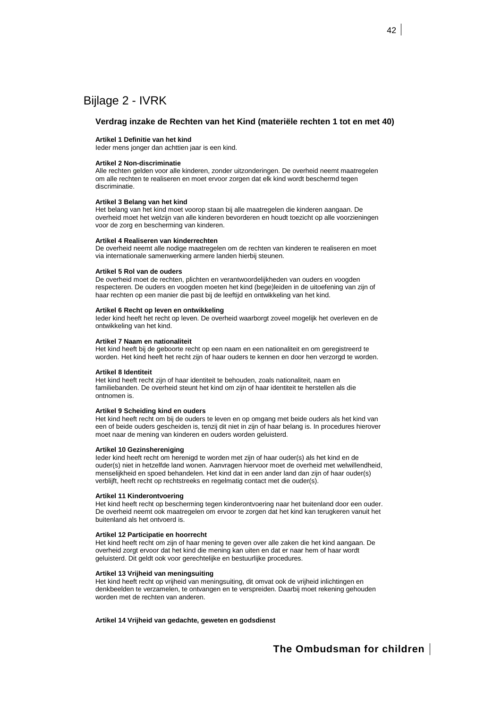# <span id="page-41-0"></span>Bijlage 2 - IVRK

### **Verdrag inzake de Rechten van het Kind (materiële rechten 1 tot en met 40)**

### **Artikel 1 Definitie van het kind**

Ieder mens jonger dan achttien jaar is een kind.

### **Artikel 2 Non-discriminatie**

Alle rechten gelden voor alle kinderen, zonder uitzonderingen. De overheid neemt maatregelen om alle rechten te realiseren en moet ervoor zorgen dat elk kind wordt beschermd tegen discriminatie.

### **Artikel 3 Belang van het kind**

Het belang van het kind moet voorop staan bij alle maatregelen die kinderen aangaan. De overheid moet het welzijn van alle kinderen bevorderen en houdt toezicht op alle voorzieningen voor de zorg en bescherming van kinderen.

#### **Artikel 4 Realiseren van kinderrechten**

De overheid neemt alle nodige maatregelen om de rechten van kinderen te realiseren en moet via internationale samenwerking armere landen hierbij steunen.

#### **Artikel 5 Rol van de ouders**

De overheid moet de rechten, plichten en verantwoordelijkheden van ouders en voogden respecteren. De ouders en voogden moeten het kind (bege)leiden in de uitoefening van zijn of haar rechten op een manier die past bij de leeftijd en ontwikkeling van het kind.

### **Artikel 6 Recht op leven en ontwikkeling**

Ieder kind heeft het recht op leven. De overheid waarborgt zoveel mogelijk het overleven en de ontwikkeling van het kind.

#### **Artikel 7 Naam en nationaliteit**

Het kind heeft bij de geboorte recht op een naam en een nationaliteit en om geregistreerd te worden. Het kind heeft het recht zijn of haar ouders te kennen en door hen verzorgd te worden.

#### **Artikel 8 Identiteit**

Het kind heeft recht zijn of haar identiteit te behouden, zoals nationaliteit, naam en familiebanden. De overheid steunt het kind om zijn of haar identiteit te herstellen als die ontnomen is.

### **Artikel 9 Scheiding kind en ouders**

Het kind heeft recht om bij de ouders te leven en op omgang met beide ouders als het kind van een of beide ouders gescheiden is, tenzij dit niet in zijn of haar belang is. In procedures hierover moet naar de mening van kinderen en ouders worden geluisterd.

### **Artikel 10 Gezinshereniging**

Ieder kind heeft recht om herenigd te worden met zijn of haar ouder(s) als het kind en de ouder(s) niet in hetzelfde land wonen. Aanvragen hiervoor moet de overheid met welwillendheid, menselijkheid en spoed behandelen. Het kind dat in een ander land dan zijn of haar ouder(s) verblijft, heeft recht op rechtstreeks en regelmatig contact met die ouder(s).

#### **Artikel 11 Kinderontvoering**

Het kind heeft recht op bescherming tegen kinderontvoering naar het buitenland door een ouder. De overheid neemt ook maatregelen om ervoor te zorgen dat het kind kan terugkeren vanuit het buitenland als het ontvoerd is.

### **Artikel 12 Participatie en hoorrecht**

Het kind heeft recht om zijn of haar mening te geven over alle zaken die het kind aangaan. De overheid zorgt ervoor dat het kind die mening kan uiten en dat er naar hem of haar wordt geluisterd. Dit geldt ook voor gerechtelijke en bestuurlijke procedures.

#### **Artikel 13 Vrijheid van meningsuiting**

Het kind heeft recht op vrijheid van meningsuiting, dit omvat ook de vrijheid inlichtingen en denkbeelden te verzamelen, te ontvangen en te verspreiden. Daarbij moet rekening gehouden worden met de rechten van anderen.

**Artikel 14 Vrijheid van gedachte, geweten en godsdienst**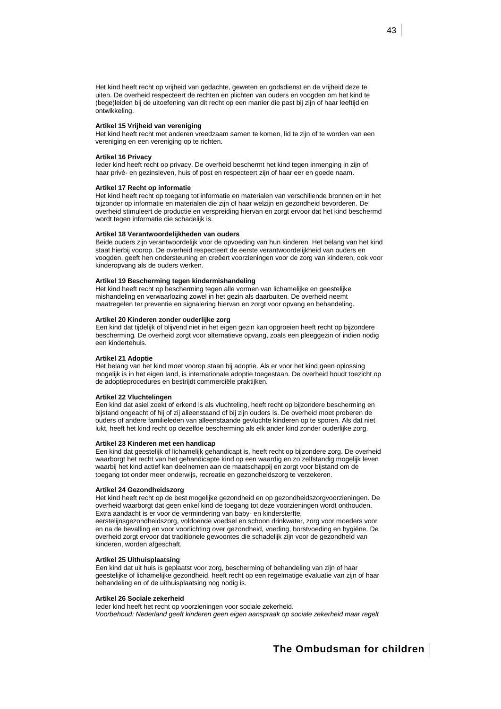Het kind heeft recht op vrijheid van gedachte, geweten en godsdienst en de vrijheid deze te uiten. De overheid respecteert de rechten en plichten van ouders en voogden om het kind te (bege)leiden bij de uitoefening van dit recht op een manier die past bij zijn of haar leeftijd en ontwikkeling.

### **Artikel 15 Vrijheid van vereniging**

Het kind heeft recht met anderen vreedzaam samen te komen, lid te zijn of te worden van een vereniging en een vereniging op te richten.

#### **Artikel 16 Privacy**

Ieder kind heeft recht op privacy. De overheid beschermt het kind tegen inmenging in zijn of haar privé- en gezinsleven, huis of post en respecteert zijn of haar eer en goede naam.

### **Artikel 17 Recht op informatie**

Het kind heeft recht op toegang tot informatie en materialen van verschillende bronnen en in het bijzonder op informatie en materialen die zijn of haar welzijn en gezondheid bevorderen. De overheid stimuleert de productie en verspreiding hiervan en zorgt ervoor dat het kind beschermd wordt tegen informatie die schadelijk is.

### **Artikel 18 Verantwoordelijkheden van ouders**

Beide ouders zijn verantwoordelijk voor de opvoeding van hun kinderen. Het belang van het kind staat hierbij voorop. De overheid respecteert de eerste verantwoordelijkheid van ouders en voogden, geeft hen ondersteuning en creëert voorzieningen voor de zorg van kinderen, ook voor kinderopvang als de ouders werken.

### **Artikel 19 Bescherming tegen kindermishandeling**

Het kind heeft recht op bescherming tegen alle vormen van lichamelijke en geestelijke mishandeling en verwaarlozing zowel in het gezin als daarbuiten. De overheid neemt maatregelen ter preventie en signalering hiervan en zorgt voor opvang en behandeling.

### **Artikel 20 Kinderen zonder ouderlijke zorg**

Een kind dat tijdelijk of blijvend niet in het eigen gezin kan opgroeien heeft recht op bijzondere bescherming. De overheid zorgt voor alternatieve opvang, zoals een pleeggezin of indien nodig een kindertehuis.

#### **Artikel 21 Adoptie**

Het belang van het kind moet voorop staan bij adoptie. Als er voor het kind geen oplossing mogelijk is in het eigen land, is internationale adoptie toegestaan. De overheid houdt toezicht op de adoptieprocedures en bestrijdt commerciële praktijken.

#### **Artikel 22 Vluchtelingen**

Een kind dat asiel zoekt of erkend is als vluchteling, heeft recht op bijzondere bescherming en bijstand ongeacht of hij of zij alleenstaand of bij zijn ouders is. De overheid moet proberen de ouders of andere familieleden van alleenstaande gevluchte kinderen op te sporen. Als dat niet lukt, heeft het kind recht op dezelfde bescherming als elk ander kind zonder ouderlijke zorg.

#### **Artikel 23 Kinderen met een handicap**

Een kind dat geestelijk of lichamelijk gehandicapt is, heeft recht op bijzondere zorg. De overheid waarborgt het recht van het gehandicapte kind op een waardig en zo zelfstandig mogelijk leven waarbij het kind actief kan deelnemen aan de maatschappij en zorgt voor bijstand om de toegang tot onder meer onderwijs, recreatie en gezondheidszorg te verzekeren.

#### **Artikel 24 Gezondheidszorg**

Het kind heeft recht op de best mogelijke gezondheid en op gezondheidszorgvoorzieningen. De overheid waarborgt dat geen enkel kind de toegang tot deze voorzieningen wordt onthouden. Extra aandacht is er voor de vermindering van baby- en kindersterfte,

eerstelijnsgezondheidszorg, voldoende voedsel en schoon drinkwater, zorg voor moeders voor en na de bevalling en voor voorlichting over gezondheid, voeding, borstvoeding en hygiëne. De overheid zorgt ervoor dat traditionele gewoontes die schadelijk zijn voor de gezondheid van kinderen, worden afgeschaft.

### **Artikel 25 Uithuisplaatsing**

Een kind dat uit huis is geplaatst voor zorg, bescherming of behandeling van zijn of haar geestelijke of lichamelijke gezondheid, heeft recht op een regelmatige evaluatie van zijn of haar behandeling en of de uithuisplaatsing nog nodig is.

#### **Artikel 26 Sociale zekerheid**

Ieder kind heeft het recht op voorzieningen voor sociale zekerheid. *Voorbehoud: Nederland geeft kinderen geen eigen aanspraak op sociale zekerheid maar regelt*

# **The Ombudsman for children**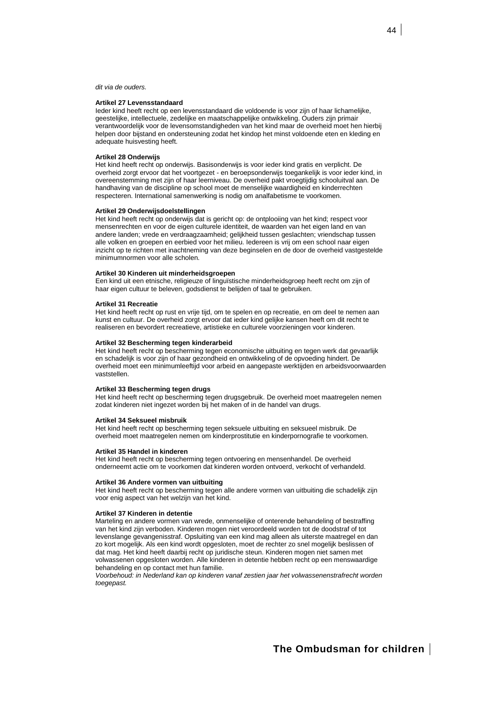*dit via de ouders.*

### **Artikel 27 Levensstandaard**

Ieder kind heeft recht op een levensstandaard die voldoende is voor zijn of haar lichamelijke, geestelijke, intellectuele, zedelijke en maatschappelijke ontwikkeling. Ouders zijn primair verantwoordelijk voor de levensomstandigheden van het kind maar de overheid moet hen hierbij helpen door bijstand en ondersteuning zodat het kindop het minst voldoende eten en kleding en adequate huisvesting heeft.

### **Artikel 28 Onderwijs**

Het kind heeft recht op onderwijs. Basisonderwijs is voor ieder kind gratis en verplicht. De overheid zorgt ervoor dat het voortgezet - en beroepsonderwijs toegankelijk is voor ieder kind, in overeenstemming met zijn of haar leerniveau. De overheid pakt vroegtijdig schooluitval aan. De handhaving van de discipline op school moet de menselijke waardigheid en kinderrechten respecteren. International samenwerking is nodig om analfabetisme te voorkomen.

### **Artikel 29 Onderwijsdoelstellingen**

Het kind heeft recht op onderwijs dat is gericht op: de ontplooiing van het kind; respect voor mensenrechten en voor de eigen culturele identiteit, de waarden van het eigen land en van andere landen; vrede en verdraagzaamheid; gelijkheid tussen geslachten; vriendschap tussen alle volken en groepen en eerbied voor het milieu. Iedereen is vrij om een school naar eigen inzicht op te richten met inachtneming van deze beginselen en de door de overheid vastgestelde minimumnormen voor alle scholen.

#### **Artikel 30 Kinderen uit minderheidsgroepen**

Een kind uit een etnische, religieuze of linguïstische minderheidsgroep heeft recht om zijn of haar eigen cultuur te beleven, godsdienst te belijden of taal te gebruiken.

#### **Artikel 31 Recreatie**

Het kind heeft recht op rust en vrije tijd, om te spelen en op recreatie, en om deel te nemen aan kunst en cultuur. De overheid zorgt ervoor dat ieder kind gelijke kansen heeft om dit recht te realiseren en bevordert recreatieve, artistieke en culturele voorzieningen voor kinderen.

#### **Artikel 32 Bescherming tegen kinderarbeid**

Het kind heeft recht op bescherming tegen economische uitbuiting en tegen werk dat gevaarlijk en schadelijk is voor zijn of haar gezondheid en ontwikkeling of de opvoeding hindert. De overheid moet een minimumleeftijd voor arbeid en aangepaste werktijden en arbeidsvoorwaarden vaststellen.

#### **Artikel 33 Bescherming tegen drugs**

Het kind heeft recht op bescherming tegen drugsgebruik. De overheid moet maatregelen nemen zodat kinderen niet ingezet worden bij het maken of in de handel van drugs.

### **Artikel 34 Seksueel misbruik**

Het kind heeft recht op bescherming tegen seksuele uitbuiting en seksueel misbruik. De overheid moet maatregelen nemen om kinderprostitutie en kinderpornografie te voorkomen.

#### **Artikel 35 Handel in kinderen**

Het kind heeft recht op bescherming tegen ontvoering en mensenhandel. De overheid onderneemt actie om te voorkomen dat kinderen worden ontvoerd, verkocht of verhandeld.

#### **Artikel 36 Andere vormen van uitbuiting**

Het kind heeft recht op bescherming tegen alle andere vormen van uitbuiting die schadelijk zijn voor enig aspect van het welzijn van het kind.

### **Artikel 37 Kinderen in detentie**

Marteling en andere vormen van wrede, onmenselijke of onterende behandeling of bestraffing van het kind zijn verboden. Kinderen mogen niet veroordeeld worden tot de doodstraf of tot levenslange gevangenisstraf. Opsluiting van een kind mag alleen als uiterste maatregel en dan zo kort mogelijk. Als een kind wordt opgesloten, moet de rechter zo snel mogelijk beslissen of dat mag. Het kind heeft daarbij recht op juridische steun. Kinderen mogen niet samen met volwassenen opgesloten worden. Alle kinderen in detentie hebben recht op een menswaardige behandeling en op contact met hun familie.

*Voorbehoud: in Nederland kan op kinderen vanaf zestien jaar het volwassenenstrafrecht worden toegepast.*

# **The Ombudsman for children**